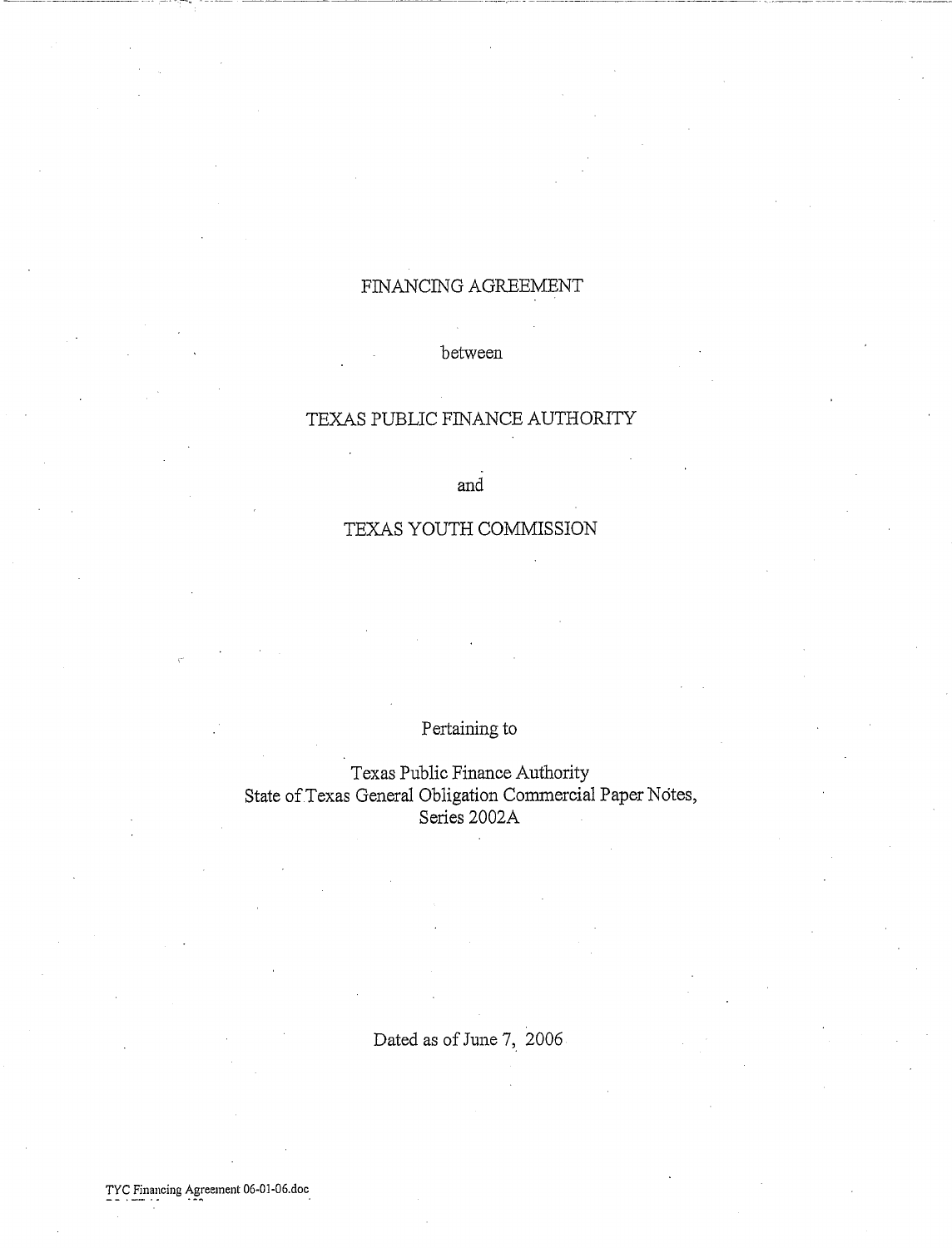# FINANCING AGREEMENT

#### between

## TEXAS PUBLIC FINANCE AUTHORITY

and

# TEXAS YOUTH COMMISSION

# Pertaining to

Texas Public Finance Authority State of Texas General Obligation Commercial Paper Notes, Series 2002A

Dated as of June 7, 2006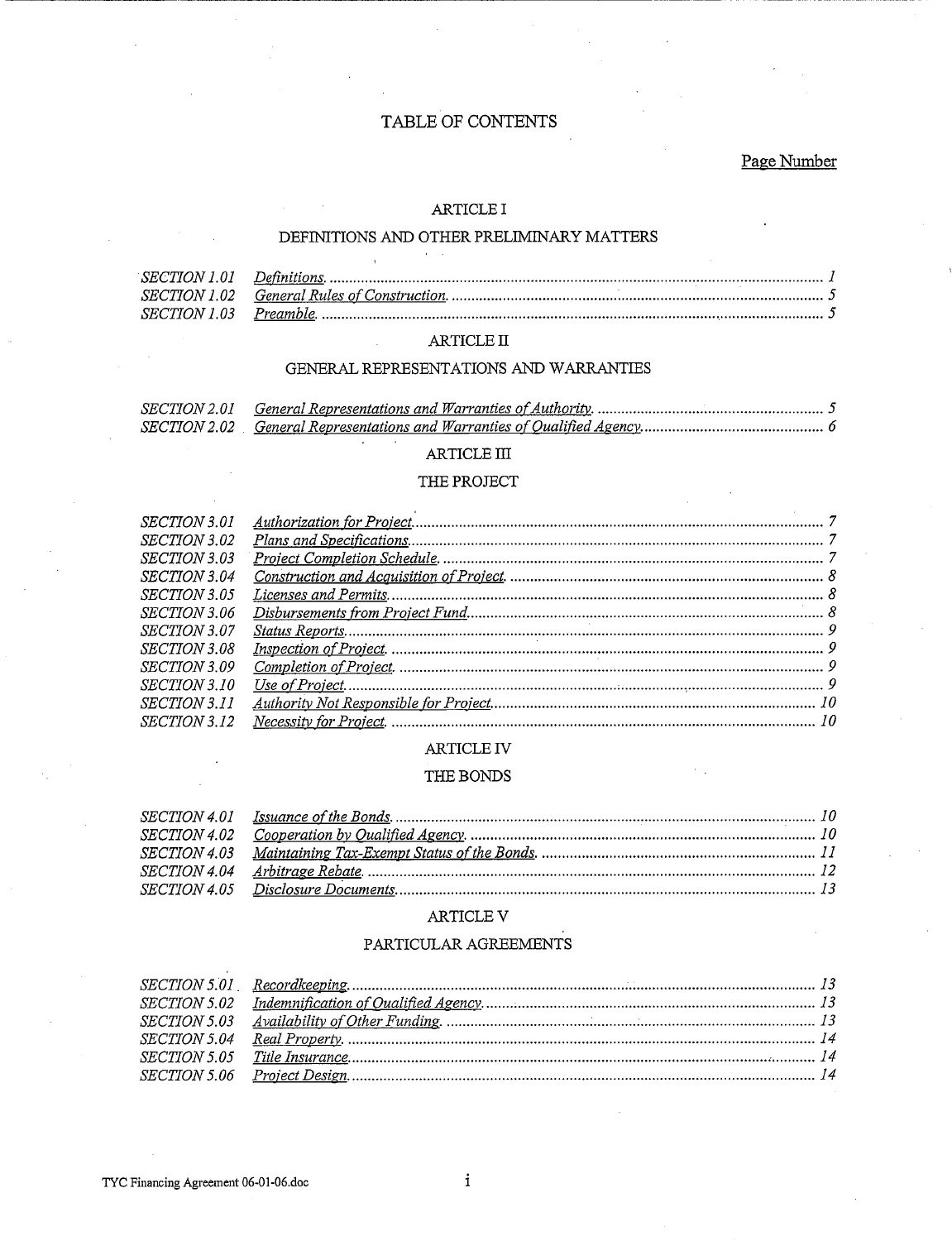### TABLE OF CONTENTS

#### Page Number

#### ARTICLE I

#### DEFINITIONS AND OTHER PRELIMINARY MATTERS

#### $\mathbb{ARTICLE}$  II

#### GENERAL REPRESENTATIONS AND WARRANTIES

#### ARTICLE III

#### THE PROJECT

| <i>SECTION 3.01</i> |  |
|---------------------|--|
| <i>SECTION 3.02</i> |  |
| <i>SECTION 3.03</i> |  |
| <i>SECTION 3.04</i> |  |
| <i>SECTION 3.05</i> |  |
| <i>SECTION 3.06</i> |  |
| <i>SECTION 3.07</i> |  |
| <i>SECTION 3.08</i> |  |
| <i>SECTION 3.09</i> |  |
| <i>SECTION 3.10</i> |  |
| <i>SECTION 3.11</i> |  |
| <i>SECTION 3.12</i> |  |
|                     |  |

#### ARTICLE IV

#### THE BONDS

#### ARTICLE  ${\rm V}$

#### PARTICULAR AGREEMENTS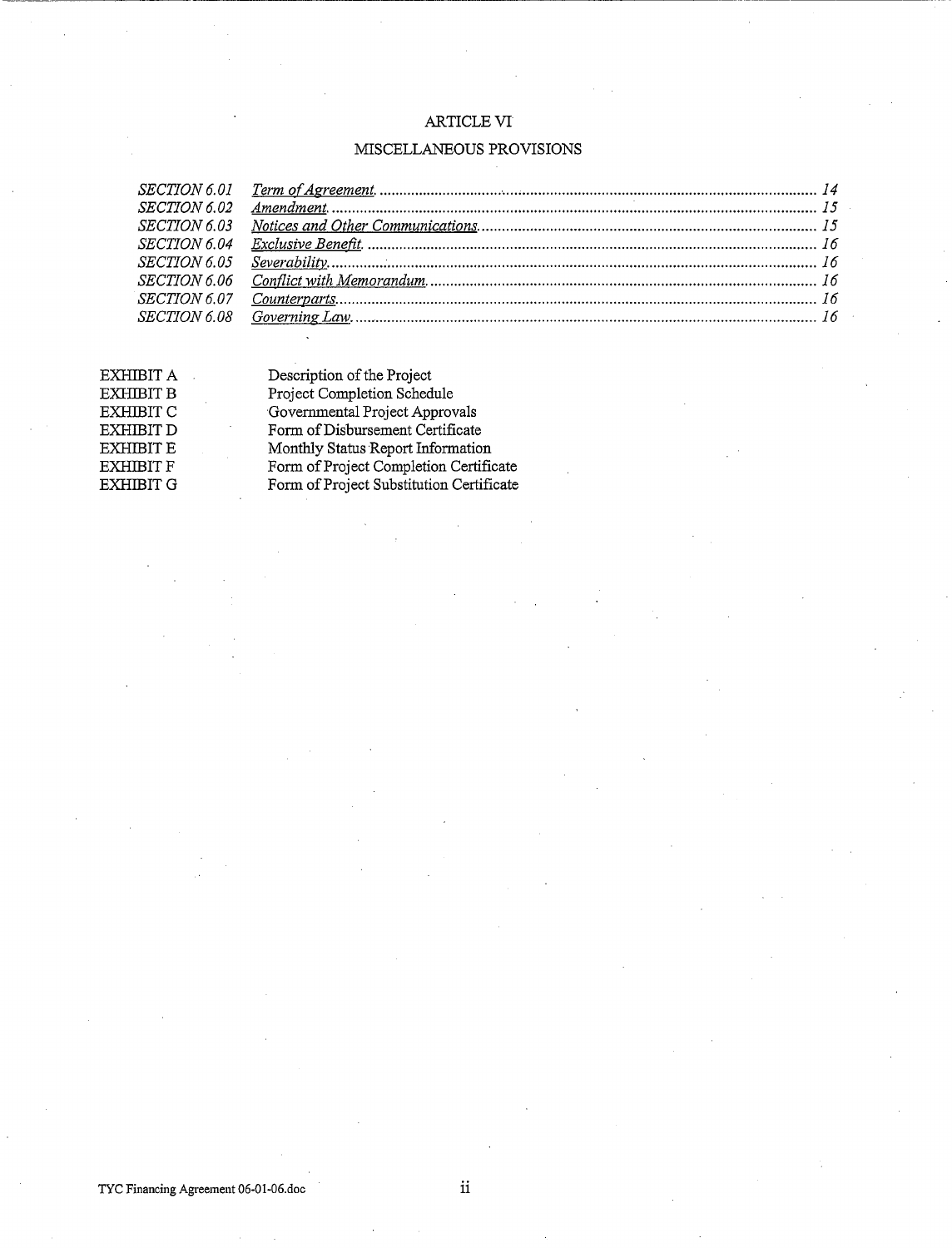#### ARTICLE VI

~~~~~~~--~~~~~~~~~~~~~--~~~~~~~~~~~~---------------~~~-

# MISCELLANEOUS PROVISIONS

| <i>SECTION 6.02</i> |  |
|---------------------|--|
| <i>SECTION 6.03</i> |  |
|                     |  |
|                     |  |
| <i>SECTION 6.06</i> |  |
|                     |  |
|                     |  |
|                     |  |

| EXHIBIT A        | Description of the Project               |
|------------------|------------------------------------------|
| <b>EXHIBIT B</b> | Project Completion Schedule              |
| <b>EXHIBIT C</b> | Governmental Project Approvals           |
| <b>EXHIBIT D</b> | Form of Disbursement Certificate         |
| <b>EXHIBIT E</b> | Monthly Status Report Information        |
| <b>EXHIBIT F</b> | Form of Project Completion Certificate   |
| <b>EXHIBIT G</b> | Form of Project Substitution Certificate |
|                  |                                          |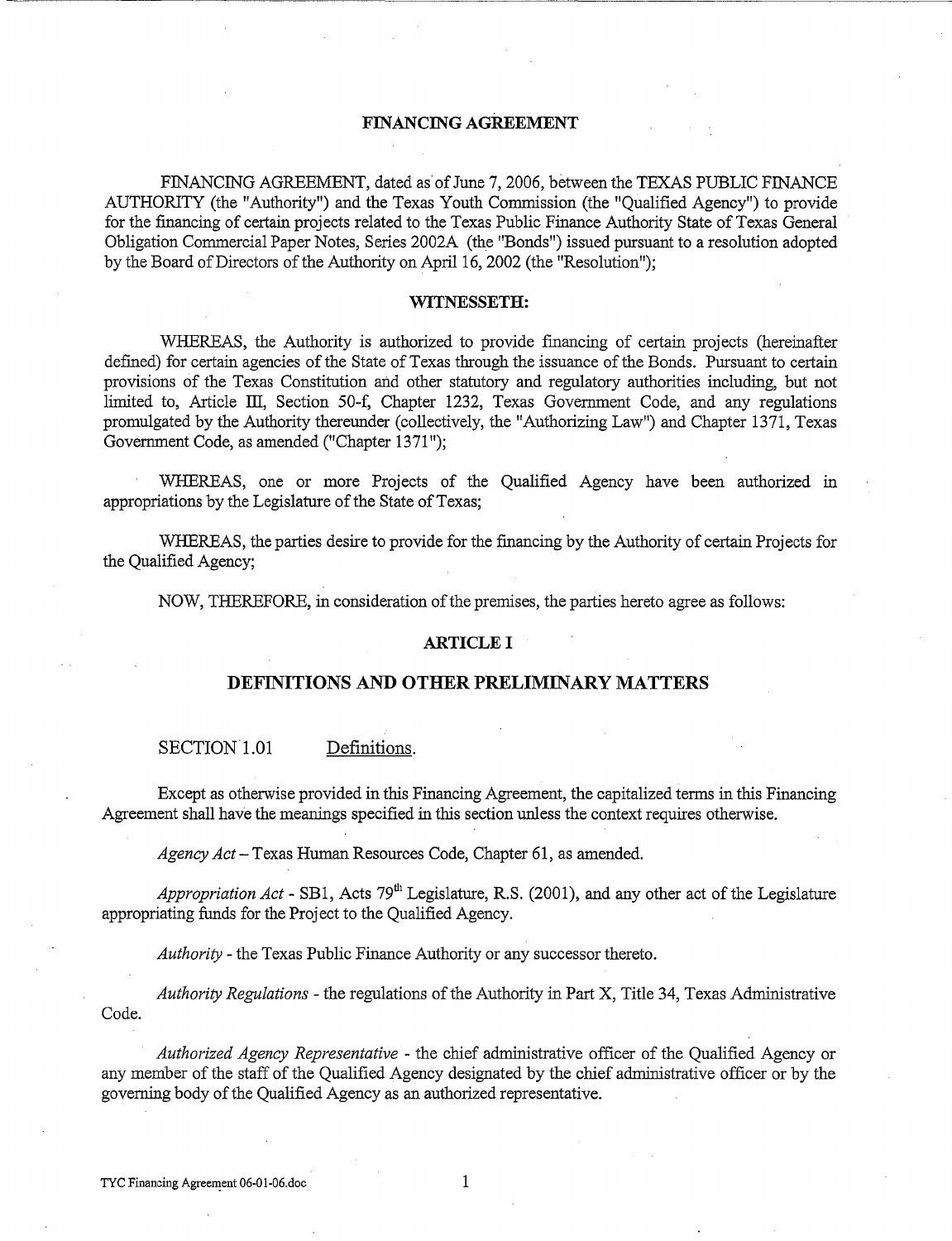#### **FINANCING AGREEMENT**

FINANCING AGREEMENT, dated as of June 7, 2006, between the TEXAS PUBLIC FINANCE AUTHORITY (the "Authority") and the Texas Youth Commission (the "Qualified Agency") to provide for the fmancing of certain projects related to the Texas Public Finance Authority State of Texas General Obligation Commercial Paper Notes, Series 2002A (the "Bonds") issued pursuant to a resolution adopted by the Board of Directors of the Authority on April 16, 2002 (the "Resolution");

#### **WITNESSETH:**

WHEREAS, the Authority is authorized to provide fmancing of certain projects (hereinafter defmed) for certain agencies of the State of Texas through the issuance of the Bonds. Pursuant to certain provisions of the Texas Constitution and other statutory and regulatory authorities including, but not limited to, Article III, Section 50-f, Chapter 1232, Texas Government Code, and any regulations promulgated by the Authority thereunder (collectively, the "Authorizing Law") and Chapter 1371, Texas Government Code, as amended ("Chapter 1371");

WHEREAS, one or more Projects of the Qualified Agency have been authorized in appropriations by the Legislature of the State of Texas;

WHEREAS, the parties desire to provide for the financing by the Authority of certain Projects for the Qualified Agency;

NOW, THEREFORE, in consideration of the premises, the parties hereto agree as follows:

#### **ARTICLE I**

#### **DEFINITIONS AND OTHER PRELIMINARY MATTERS**

SECTION 1.01 Definitions.

Except as otherwise provided in this Financing Agreement, the capitalized terms in this Financing Agreement shall have the meanings specified in this section unless the context requires otherwise.

*Agency Act-* Texas Human Resources Code, Chapter 61, as amended.

Appropriation Act - SB1, Acts 79<sup>th</sup> Legislature, R.S. (2001), and any other act of the Legislature appropriating funds for the Project to the Qualified Agency.

*Authority* -the Texas Public Finance Authority or any successor thereto.

*Authority Regulations* - the regulations of the Authority in Part X, Title 34, Texas Administrative Code.

*Authorized Agency Representative* - the chief administrative officer of the Qualified Agency or any member of the staff of the Qualified Agency designated by the chief administrative officer or by the governing body of the Qualified Agency as an authorized representative.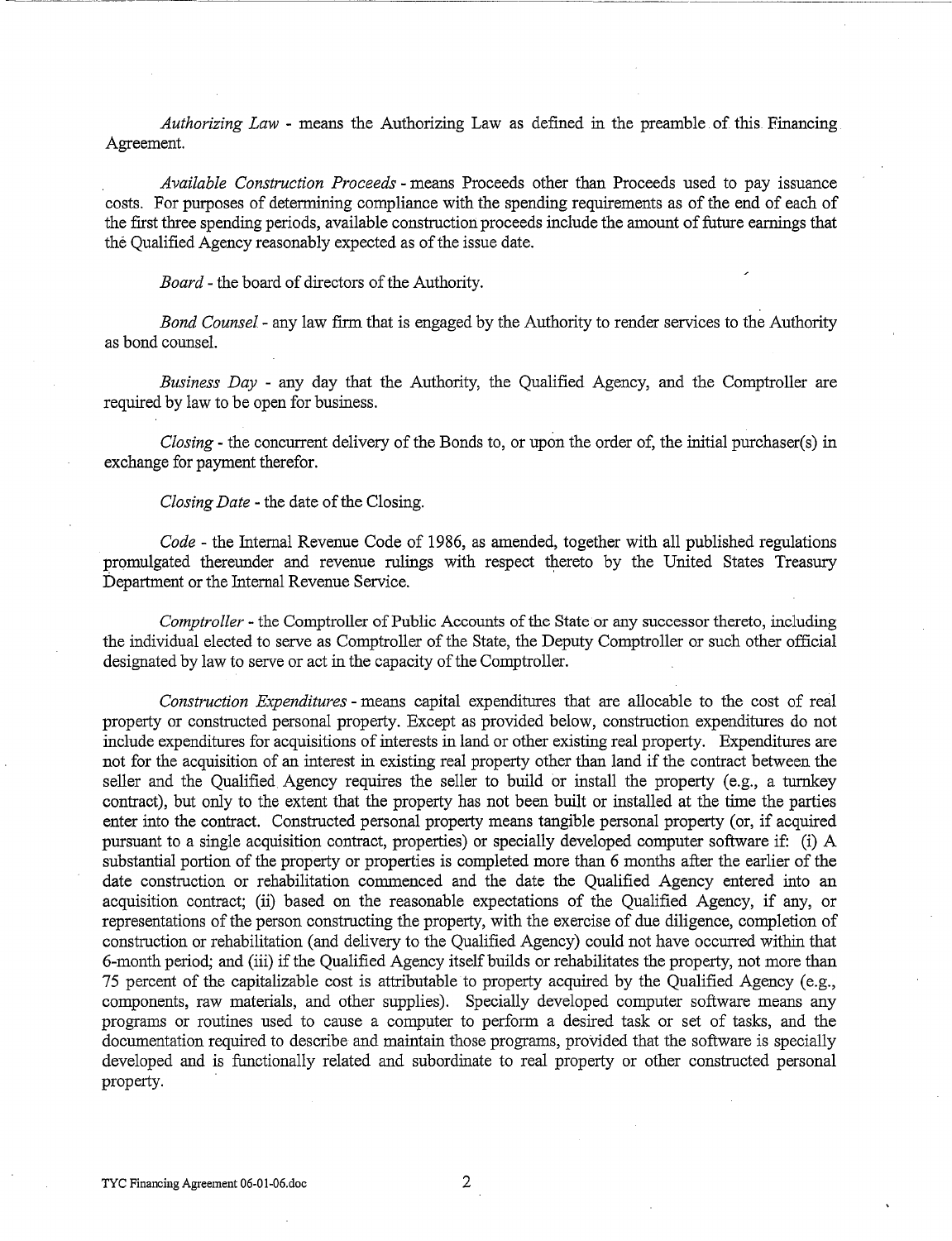*Authorizing Law* - means the Authorizing Law as defined in the preamble of this Financing Agreement.

*Available Construction Proceeds* - means Proceeds other than Proceeds used to pay issuance costs. For purposes of determining compliance with the spending requirements as of the end of each of the first three spending periods, available construction proceeds include the amount of future earnings that the Qualified Agency reasonably expected as of the issue date.

*Board-* the board of directors of the Authority.

*Bond Counsel-* any law firm that is engaged by the Authority to render services to the Authority as bond counsel.

*Business Day* - any day that the Authority, the Qualified Agency, and the Comptroller are required by law to be open for business.

*Closing-* the concurrent delivery of the Bonds to, or upon the order of, the initial purchaser(s) in exchange for payment therefor.

*Closing Date* - the date of the Closing.

*Code-* the Internal Revenue Code of 1986, as amended, together with all published regulations promulgated thereunder and revenue rulings with respect thereto by the United States Treasury Department or the Internal Revenue Service.

*Comptroller-* the Comptroller of Public Accounts of the State or any successor thereto, including the individual elected to serve as Comptroller of the State, the Deputy Comptroller or such other official designated by law to serve or act in the capacity of the Comptroller.

*Construction Expenditures* - means capital expenditures that are allocable to the cost of real property or constructed personal property. Except as provided below, construction expenditures do not include expenditures for acquisitions of interests in land or other existing real property. Expenditures are not for the acquisition of an interest in existing real property other than land if the contract between the seller and the Qualified Agency requires the seller to build or install the property (e.g., a turnkey contract), but only to the extent that the property has not been built or installed at the time the parties enter into the contract. Constructed personal property means tangible personal property (or, if acquired pursuant to a single acquisition contract, properties) or specially developed computer software if: (i) A substantial portion of the property or properties is completed more than 6 months after the earlier of the date construction or rehabilitation commenced and the date the Qualified Agency entered into an acquisition contract; (ii) based on the reasonable expectations of the Qualified Agency, if any, or representations of the person constructing the property, with the exercise of due diligence, completion of construction or rehabilitation (and delivery to the Qualified Agency) could not have occurred within that 6-month period; and (iii) if the Qualified Agency itself builds or rehabilitates the property, not more than 75 percent of the capitalizable cost is attributable to property acquired by the Qualified Agency (e.g., components, raw materials, and other supplies). Specially developed computer software means any programs or routines used to cause a computer to perform a desired task or set of tasks, and the documentation required to describe and maintain those programs, provided that the software is specially developed and is functionally related and subordinate to real property or other constructed personal property.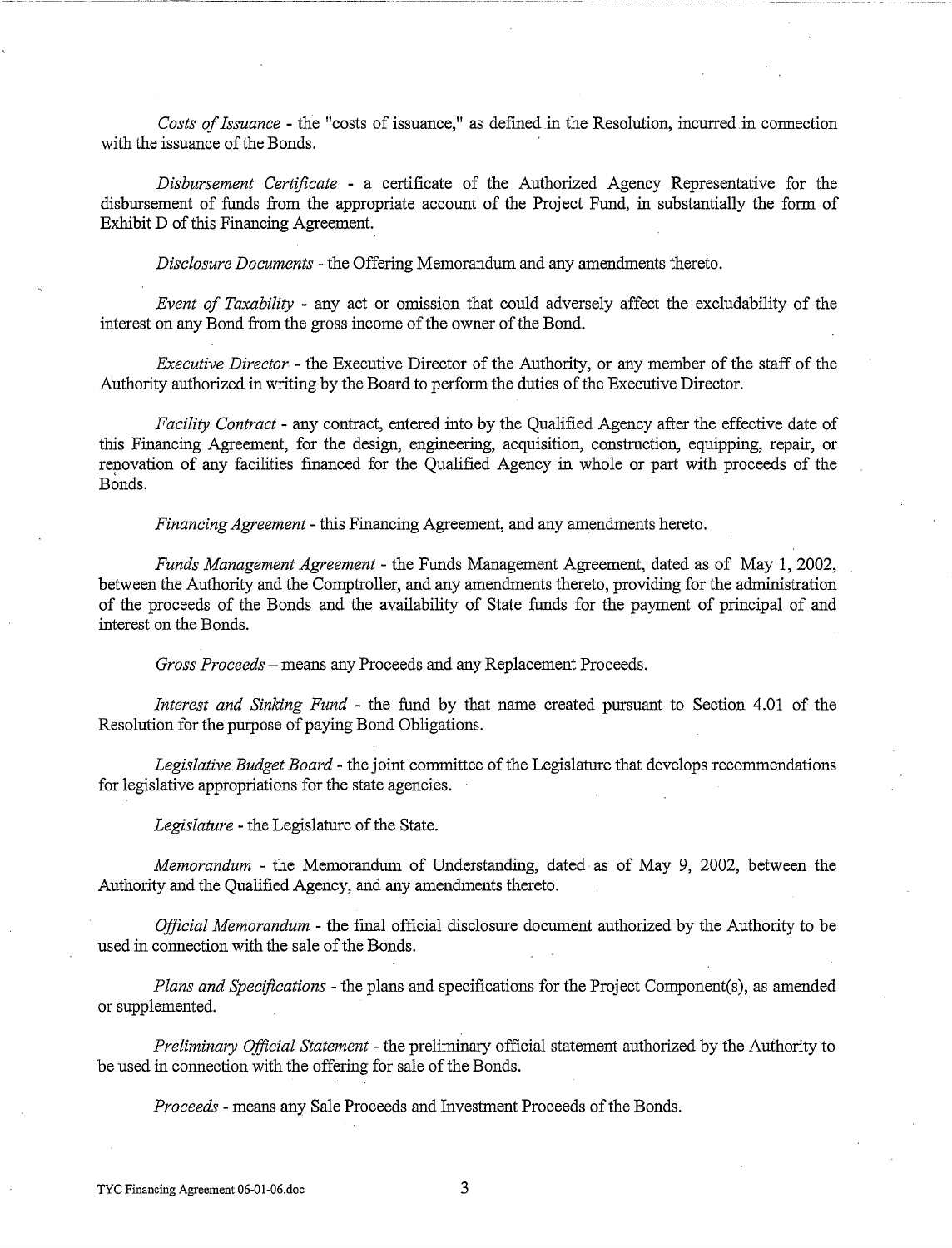*Costs of Issuance-* the "costs of issuance," as defmed in the Resolution, incurred.in connection with the issuance of the Bonds.

*Disbursement Certificate* - a certificate of the Authorized Agency Representative for the disbursement of funds from the appropriate account of the Project Fund, in substantially the form of Exhibit D of this Financing Agreement.

*Disclosure Documents* -the Offering Memorandum and any amendments thereto.

*Event of Taxability* - any act or omission that could adversely affect the excludability of the interest on any Bond from the gross income of the owner of the Bond.

*Executive Director* - the Executive Director of the Authority, or any member of the staff of the Authority authorized in writing by the Board to perform the duties of the Executive Director.

*Facility Contract-* any contract, entered into by the Qualified Agency after the effective date of this Financing Agreement, for the design, engineering, acquisition, construction, equipping, repair, or renovation of any facilities fmanced for the Qualified Agency in whole or part with proceeds of the Bonds.

*Financing Agreement-* this Financing Agreement, and any amendments hereto.

*Funds Management Agreement* - the Funds Management Agreement, dated as of May 1, 2002, between the Authority and the Comptroller, and any amendments thereto, providing for the administration of the proceeds of the Bonds and the availability of State funds for the payment of principal of and interest on the Bonds.

*Gross Proceeds-* means any Proceeds and any Replacement Proceeds.

*Interest and Sinking Fund* - the fund by that name created pursuant to Section 4.01 of the Resolution for the purpose of paying Bond Obligations.

*Legislative Budget Board* - the joint committee of the Legislature that develops recommendations for legislative appropriations for the state agencies.

*Legislature-* the Legislature of the State.

*Memorandum* - the Memorandum of Understanding, dated as of May 9, 2002, between the Authority and the Qualified Agency, and any amendments thereto.

*Official Memorandum* - the fmal official disclosure document authorized by the Authority to be used in connection with the sale of the Bonds.

*Plans and Specifications-* the plans and specifications for the Project Component(s), as amended or supplemented.

*Preliminary Official Statement* - the preliminary official statement authorized by the Authority to be used in connection with the offering for sale of the Bonds.

*Proceeds* - means any Sale Proceeds and Investment Proceeds of the Bonds.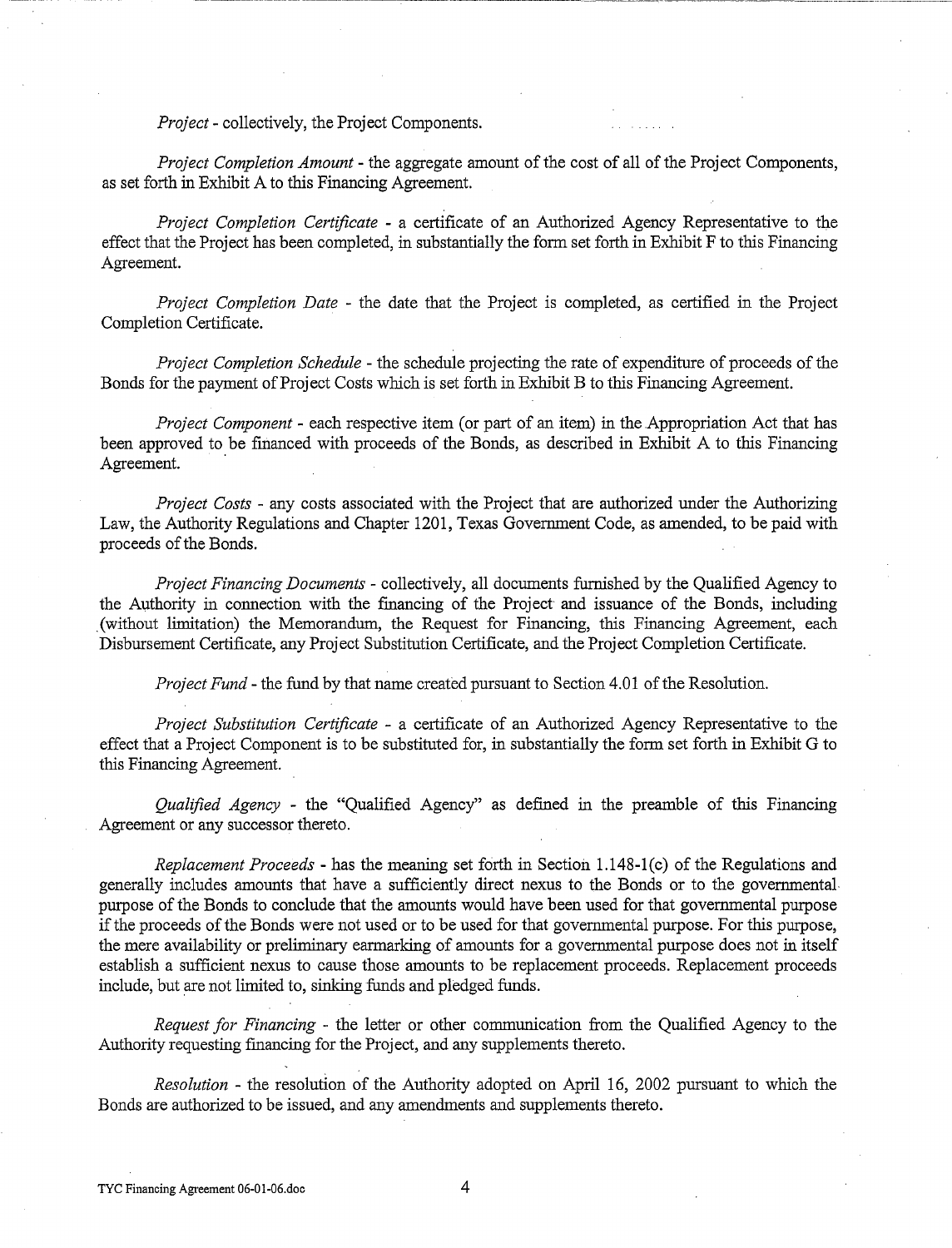*Project-* collectively, the Project Components.

*Project Completion Amount* - the aggregate amount of the cost of all of the Project Components, as set forth in Exhibit A to this Financing Agreement.

*Project Completion Certificate* - a certificate of an Authorized Agency Representative to the effect that the Project has been completed, in substantially the form set forth in Exhibit F to this Financing Agreement.

*Project Completion Date* - the date that the Project is completed, as certified in the Project Completion Certificate.

*Project Completion Schedule-* the schedule projecting the rate of expenditure of proceeds of the Bonds for the payment of Project Costs which is set forth in Exhibit B to this Financing Agreement.

*Project Component* - each respective item (or part of an item) in the Appropriation Act that has been approved to be fmanced with proceeds of the Bonds, as described in Exhibit A to this Financing Agreement.

*Project Costs* - any costs associated with the Project that are authorized under the Authorizing Law, the Authority Regulations and Chapter 1201, Texas Government Code, as amended, to be paid with proceeds of the Bonds.

*Project Financing Documents* - collectively, all documents furnished by the Qualified Agency to the Authority in connection with the fmancing of the Project and issuance of the Bonds, including . (without limitation) the Memorandum, the Request for Financing, this Financing Agreement, each Disbursement Certificate, any Project Substitution Certificate, and the Project Completion Certificate.

*Project Fund-* the fund by that name created pursuant to Section 4.01 of the Resolution.

*Project Substitution Certificate* - a certificate of an Authorized Agency Representative to the effect that a Project Component is to be substituted for, in substantially the form set forth in Exhibit G to this Financing Agreement.

*Qualified Agency* - the "Qualified Agency" as defined in the preamble of this Financing Agreement or any successor thereto.

*Replacement Proceeds-* has the meaning set forth in Section 1.148-l(c) of the Regulations and generally includes amounts that have a sufficiently direct nexus to the Bonds or to the governmental purpose of the Bonds to conclude that the amounts would have been used for that governmental purpose if the proceeds of the Bonds were not used or to be used for that governmental purpose. For this purpose, the mere availability or preliminary earmarking of amounts for a governmental purpose does not in itself establish a sufficient nexus to cause those amounts to be replacement proceeds. Replacement proceeds include, but are not limited to, sinking funds and pledged funds.

*Request for Financing* - the letter or other communication from the Qualified Agency to the Authority requesting fmancing for the Project, and any supplements thereto.

*Resolution* - the resolution of the Authority adopted on April 16, 2002 pursuant to which the Bonds are authorized to be issued, and any amendments and supplements thereto.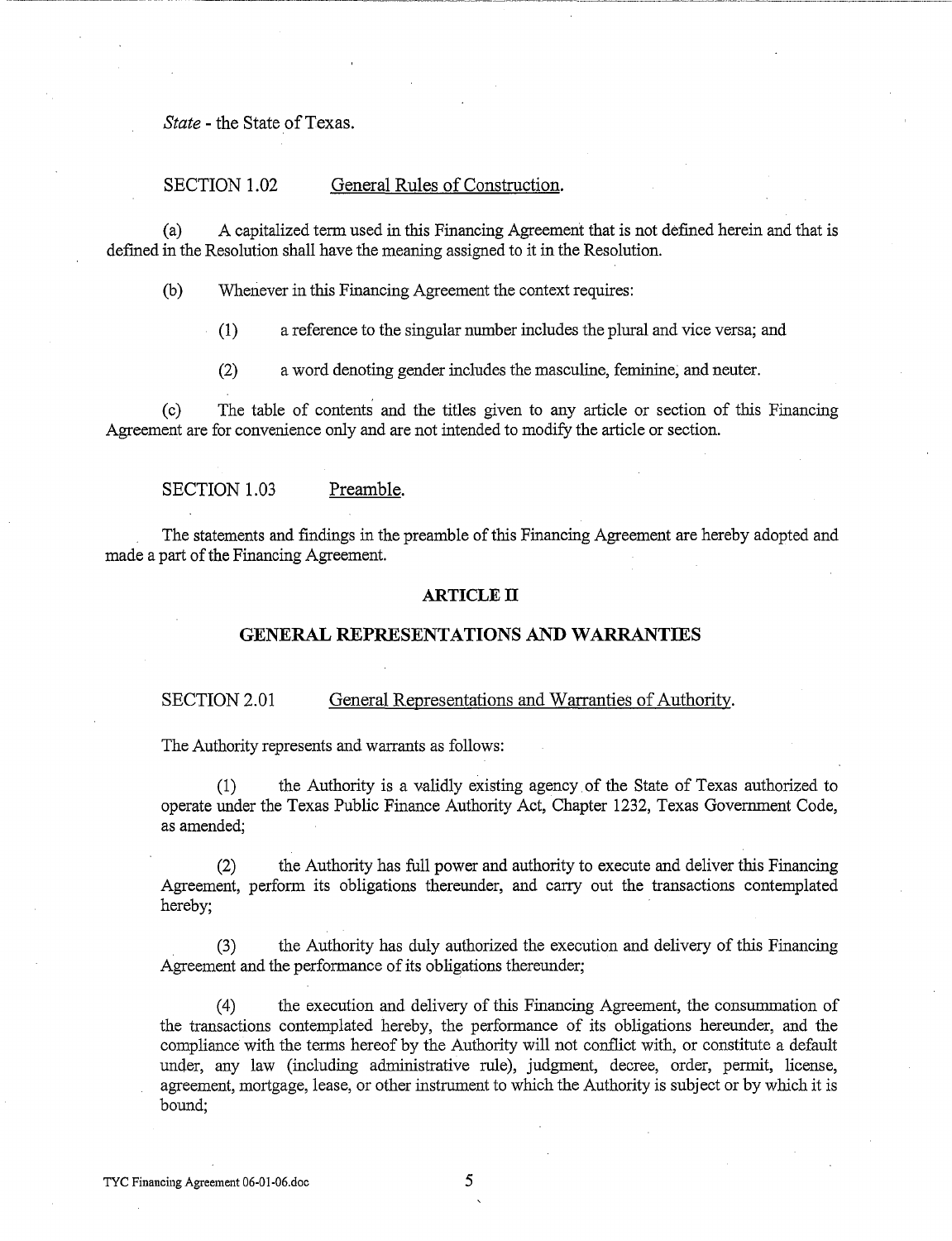*State* - the State of Texas.

#### SECTION 1.02 General Rules of Construction.

(a) A capitalized term used in this Financing Agreement that is not defined herein and that is defmed in the Resolution shall have the meaning assigned to it in the Resolution.

(b) Whenever in this Financing Agreement the context requires:

(1) a reference to the singular number includes the plural and vice versa; and

-----·--·---~---------------------~-----~-·-·----··--·---~----·--···----------------

(2) a word denoting gender includes the masculine, feminine; and neuter.

(c) The table of contents and the titles given to any article or section of this Financing Agreement are for convenience only and are not intended to modify the article or section.

SECTION 1.03 Preamble.

The statements and findings in the preamble of this Financing Agreement are hereby adopted and made a part of the Financing Agreement.

#### **ARTICLE IT**

#### **GENERAL REPRESENTATIONS AND WARRANTIES**

#### SECTION 2.01 General Representations and Warranties of Authority.

The Authority represents and warrants as follows:

(1) the Authority is a validly existing agency of the State of Texas authorized to operate under the Texas Public Finance Authority Act, Chapter 1232, Texas Government Code, as amended;

(2) the Authority has full power and authority to execute and deliver this Financing Agreement, perform its obligations thereunder, and carry out the transactions contemplated hereby;

(3) the Authority has duly authorized the execution and delivery of this Financing Agreement and the performance of its obligations thereunder;

( 4) the execution and delivery of this Financing Agreement, the consummation of the transactions contemplated hereby, the performance of its obligations hereunder, and the compliance with the terms hereof by the Authority will not conflict with, or constitute a default under, any law (including administrative rule), judgment, decree, order, permit, license, agreement, mortgage, lease, or other instrument to which the Authority is subject or by which it is bound;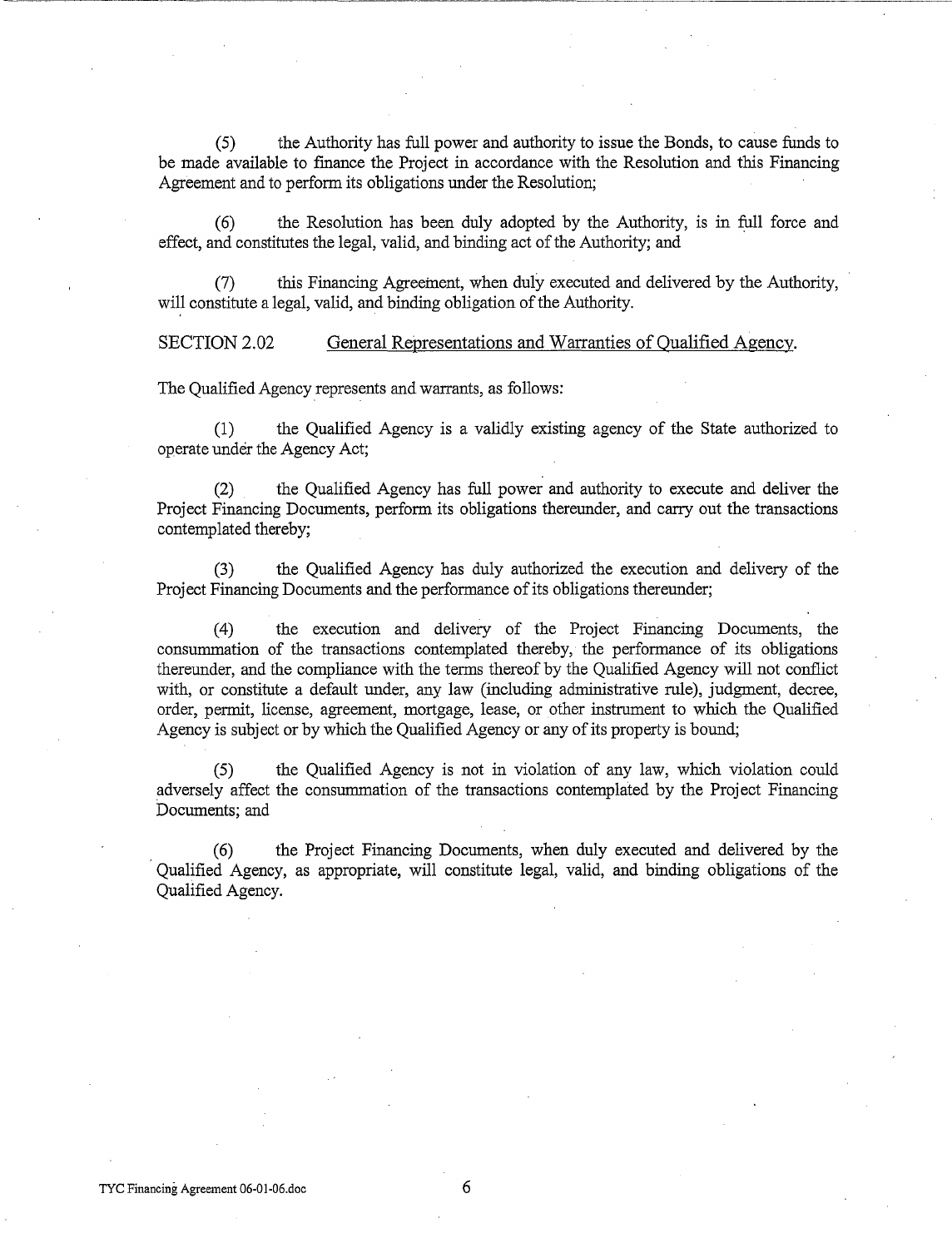(5) the Authority has full power and authority to issue the Bonds, to cause funds to be made available to fmance the Project in accordance with the Resolution and this Financing Agreement and to perform its obligations under the Resolution;

 $(6)$  the Resolution has been duly adopted by the Authority, is in full force and effect, and constitutes the legal, valid, and binding act of the Authority; and

(7) this Financing Agreement, when duly executed and delivered by the Authority, will constitute a legal, valid, and binding obligation of the Authority.

SECTION 2.02 General Representations and Warranties of Qualified Agency.

The Qualified Agency represents and warrants, as follows:

-----·------------~

(1) the Qualified Agency is a validly existing agency of the State authorized to operate under the Agency Act;

(2) the Qualified Agency has full power and authority to execute and deliver the Project Financing Documents, perform its obligations thereunder, and carry out the transactions contemplated thereby;

(3) the Qualified Agency has duly authorized the execution and delivery of the Project Financing Documents and the performance of its obligations thereunder;

(4) the execution and delivery of the Project Financing Documents, the consummation of the transactions contemplated thereby, the performance of its obligations thereunder, and the compliance with the terms thereof by the Qualified Agency will not conflict with, or constitute a default under, any law (including administrative rule), judgment, decree, order, permit, license, agreement, mortgage, lease, or other instrument to which the Qualified Agency is subject or by which the Qualified Agency or any of its property is bound;

(5) the Qualified Agency is not in violation of any law, which violation could adversely affect the consummation of the transactions contemplated by the Project Financing Documents; and

( 6) the Project Financing Documents, when du1y executed and delivered by the Qualified Agency, as appropriate, will constitute legal, valid, and binding obligations of the Qualified Agency.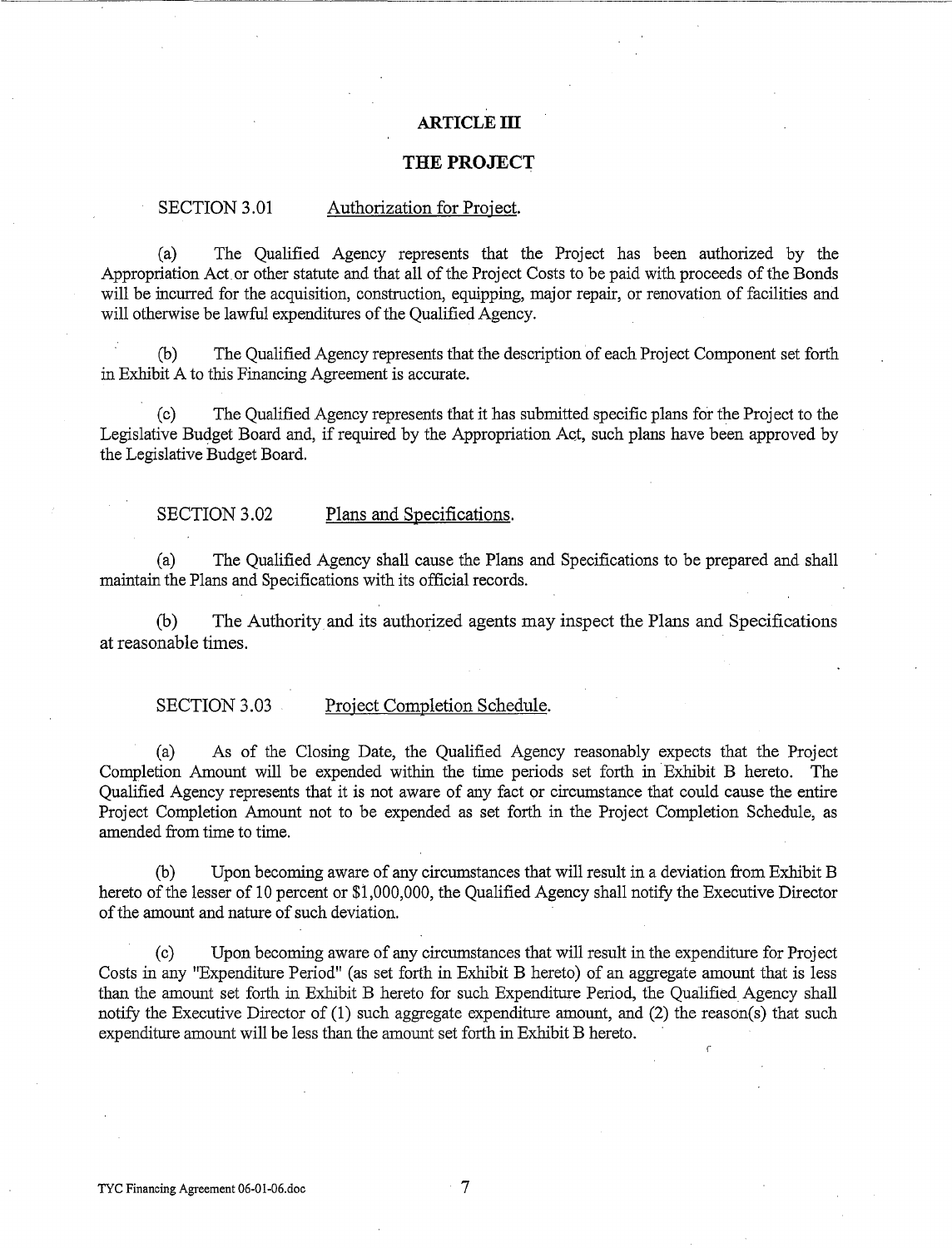### **ARTICLE ill**

#### **THE PROJECT**

#### SECTION 3.01 Authorization for Project.

(a) The Qualified Agency represents that the Project has been authorized by the Appropriation Act or other statute and that all of the Project Costs to be paid with proceeds of the Bonds will be incurred for the acquisition, construction, equipping, major repair, or renovation of facilities and will otherwise be lawful expenditures of the Qualified Agency.

(b) The Qualified Agency represents that the description of each Project Component set forth in Exhibit A to this Financing Agreement is accurate.

(c) The Qualified Agency represents that it has submitted specific plans for the Project to the Legislative Budget Board and, if required by the Appropriation Act, such plans have been approved by the Legislative Budget Board.

#### SECTION 3.02 Plans and Specifications.

(a) The Qualified Agency shall cause the Plans and Specifications to be prepared and shall maintain the Plans and Specifications with its official records.

(b) The Authority and its authorized agents may inspect the Plans and Specifications at reasonable times.

#### SECTION 3.03 Project Completion Schedule.

(a) As of the Closing Date, the Qualified Agency reasonably expects that the Project Completion Amount will be expended within the time periods set forth in Exhibit B hereto. The Qualified Agency represents that it is not aware of any fact or circumstance that could cause the entire Project Completion Amount not to be expended as set forth in the Project Completion Schedule, as amended from time to time.

(b) Upon becoming aware of any circumstances that will result in a deviation from Exhibit B hereto of the lesser of 10 percent or \$1,000,000, the Qualified Agency shall notify the Executive Director of the amount and nature of such deviation.

(c) Upon becoming aware of any circumstances that will result in the expenditure for Project Costs in any "Expenditure Period" (as set forth in Exhibit B hereto) of an aggregate amount that is less than the amount set forth in Exhibit B hereto for such Expenditure Period, the Qualified Agency shall notify the Executive Director of (1) such aggregate expenditure amount, and (2) the reason(s) that such expenditure amount will be less than the amount set forth in Exhibit B hereto.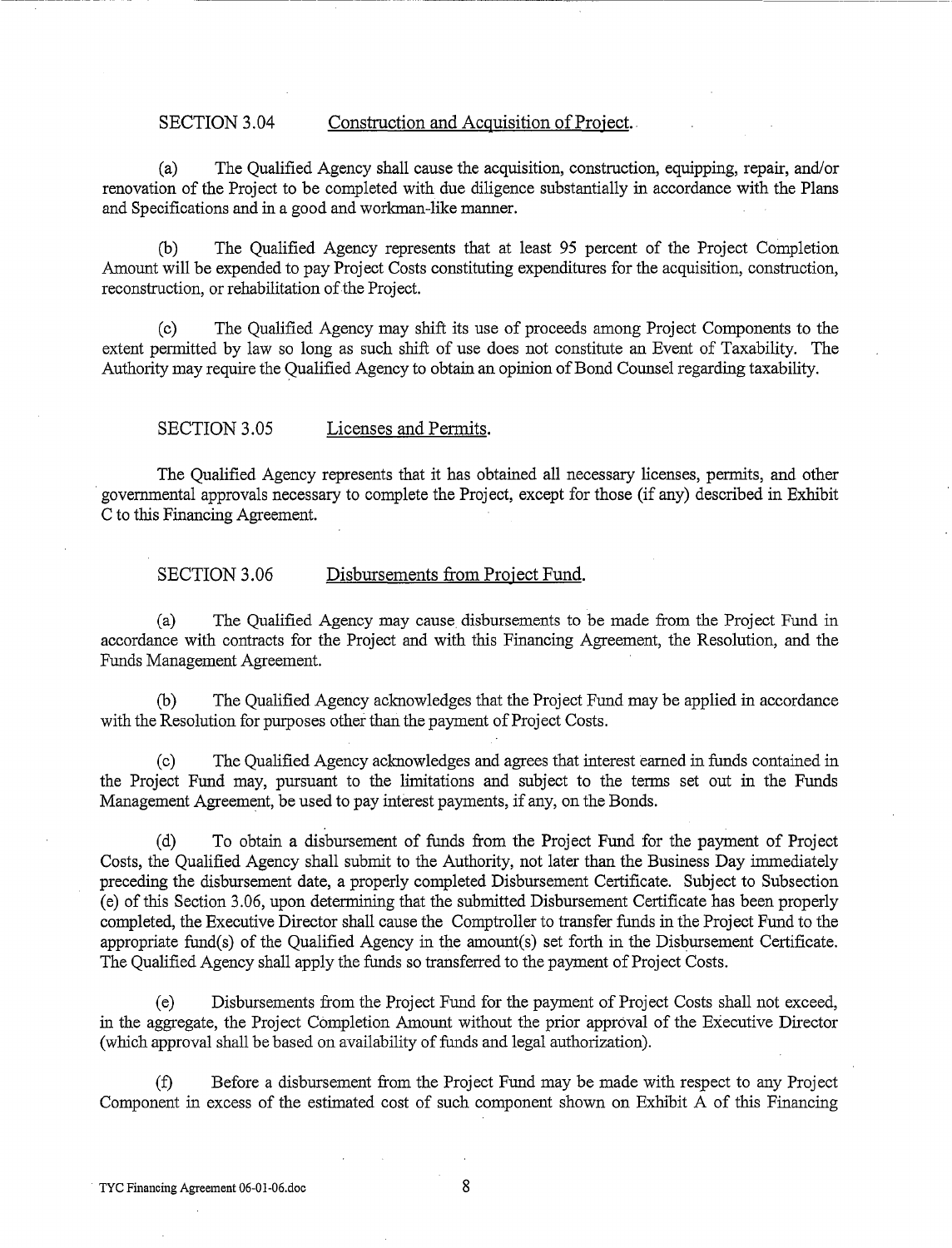#### SECTION 3.04 Construction and Acquisition of Project.

(a) The Qualified Agency shall cause the acquisition, construction, equipping, repair, and/or renovation of the Project to be completed with due diligence substantially in accordance with the Plans and Specifications and in a good and workman-like manner.

------------- ---------------------------------

(b) The Qualified Agency represents that at least 95 percent of the Project Completion Amount will be expended to pay Project Costs constituting expenditures for the acquisition, construction, reconstruction, or rehabilitation of the Project.

(c) The Qualified Agency may shift its use of proceeds among Project Components to the extent permitted by law so long as such shift of use does not constitute an Event of Taxability. The Authority may require the Qualified Agency to obtain an opinion of Bond Counsel regarding taxability.

#### SECTION 3.05 Licenses and Permits.

The Qualified Agency represents that it has obtained all necessary licenses, permits, and other governmental approvals necessary to complete the Project, except for those (if any) described in Exhibit C to this Financing Agreement.

#### SECTION 3.06 Disbursements from Project Fund.

(a) The Qualified Agency may cause disbursements to be made from the Project Fund in accordance with contracts for the Project and with this Financing Agreement, the Resolution, and the Funds Management Agreement.

(b) The Qualified Agency acknowledges that the Project Fund may be applied in accordance with the Resolution for purposes other than the payment of Project Costs.

The Qualified Agency acknowledges and agrees that interest earned in funds contained in the Project Fund may, pursuant to the limitations and subject to the terms set out in the Funds Management Agreement, be used to pay interest payments, if any, on the Bonds.

(d) To obtain a disbursement of funds from the Project Fund for the payment of Project Costs, the Qualified Agency shall submit to the Authority, not later than the Business Day immediately preceding the disbursement date, a properly completed Disbursement Certificate. Subject to Subsection (e) of this Section 3.06, upon determining that the submitted Disbursement Certificate has been properly completed, the Executive Director shall cause the Comptroller to transfer funds in the Project Fund to the appropriate fund(s) of the Qualified Agency in the amount(s) set forth in the Disbursement Certificate. The Qualified Agency shall apply the funds so transferred to the payment of Project Costs.

(e) Disbursements from the Project Fund for the payment of Project Costs shall not exceed, in the aggregate, the Project Completion Amount without the prior approval of the Executive Director (which approval shall be based on availability of funds and legal authorization).

(f) Before a disbursement from the Project Fund may be made with respect to any Project Component in excess of the estimated cost of such component shown on Exhibit A of this Financing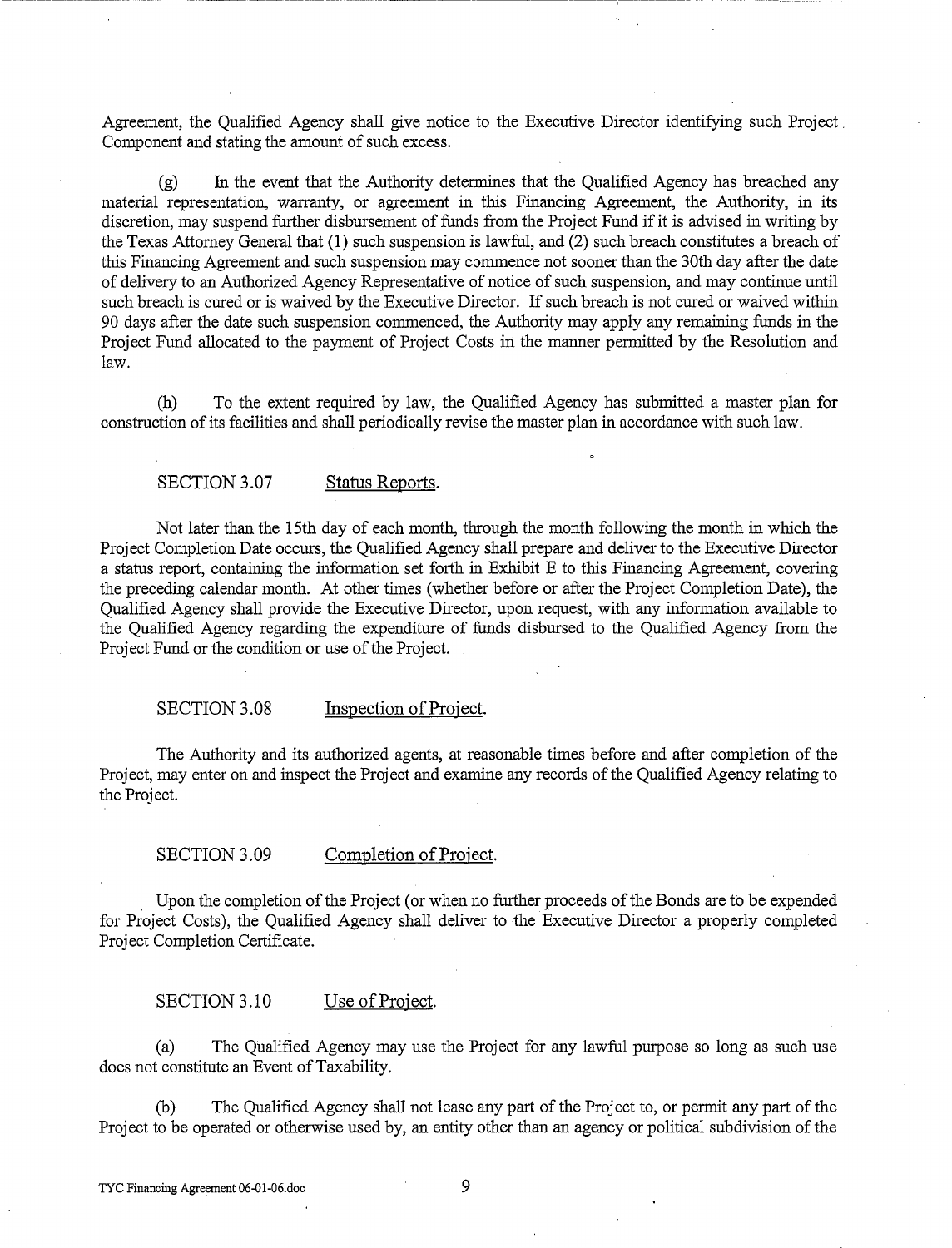Agreement, the Qualified Agency shall give notice to the Executive Director identifying such Project. Component and stating the amount of such excess.

------ --~----------- ------ --------------------~-------------

 $(g)$  In the event that the Authority determines that the Qualified Agency has breached any material representation, warranty, or agreement in this Financing Agreement, the Authority, in its discretion, may suspend further disbursement of funds from the Project Fund if it is advised in writing by the Texas Attorney General that (1) such suspension is lawful, and (2) such breach constitutes a breach of this Financing Agreement and such suspension may commence not sooner than the 30th day after the date of delivery to an Authorized Agency Representative of notice of such suspension, and may continue until such breach is cured or is waived by the Executive Director. If such breach is not cured or waived within 90 days after the date such suspension commenced, the Authority may apply any remaining funds in the Project Fund allocated to the payment of Project Costs in the manner permitted by the Resolution and law.

(h) To the extent required by law, the Qualified Agency has submitted a master plan for construction of its facilities and shall periodically revise the master plan in accordance with such law.

#### SECTION 3.07 Status Reports.

Not later than the 15th day of each month, through the month following the month in which the Project Completion Date occurs, the Qualified Agency shall prepare and deliver to the Executive Director a status report, containing the information set forth in Exhibit E to this Financing Agreement, covering the preceding calendar month. At other times (whether before or after the Project Completion Date), the Qualified Agency shall provide the Executive Director, upon request, with any information available to the Qualified Agency regarding the expenditure of funds disbursed to the Qualified Agency from the Project Fund or the condition or use of the Project.

#### SECTION 3.08 Inspection of Project.

The Authority and its authorized agents, at reasonable times before and after completion of the Project, may enter on and inspect the Project and examine any records of the Qualified Agency relating to the Project.

#### SECTION 3.09 Completion of Project.

. Upon the completion of the Project (or when no further proceeds of the Bonds are to be expended for Project Costs), the Qualified Agency shall deliver to the Executive Director a properly completed Project Completion Certificate.

#### SECTION 3.10 Use of Project.

(a) The Qualified Agency may use the Project for any lawful purpose so long as such use does not constitute an Event of Taxability.

(b) The Qualified Agency shall not lease any part of the Project to, or permit any part of the Project to be operated or otherwise used by, an entity other than an agency or political subdivision of the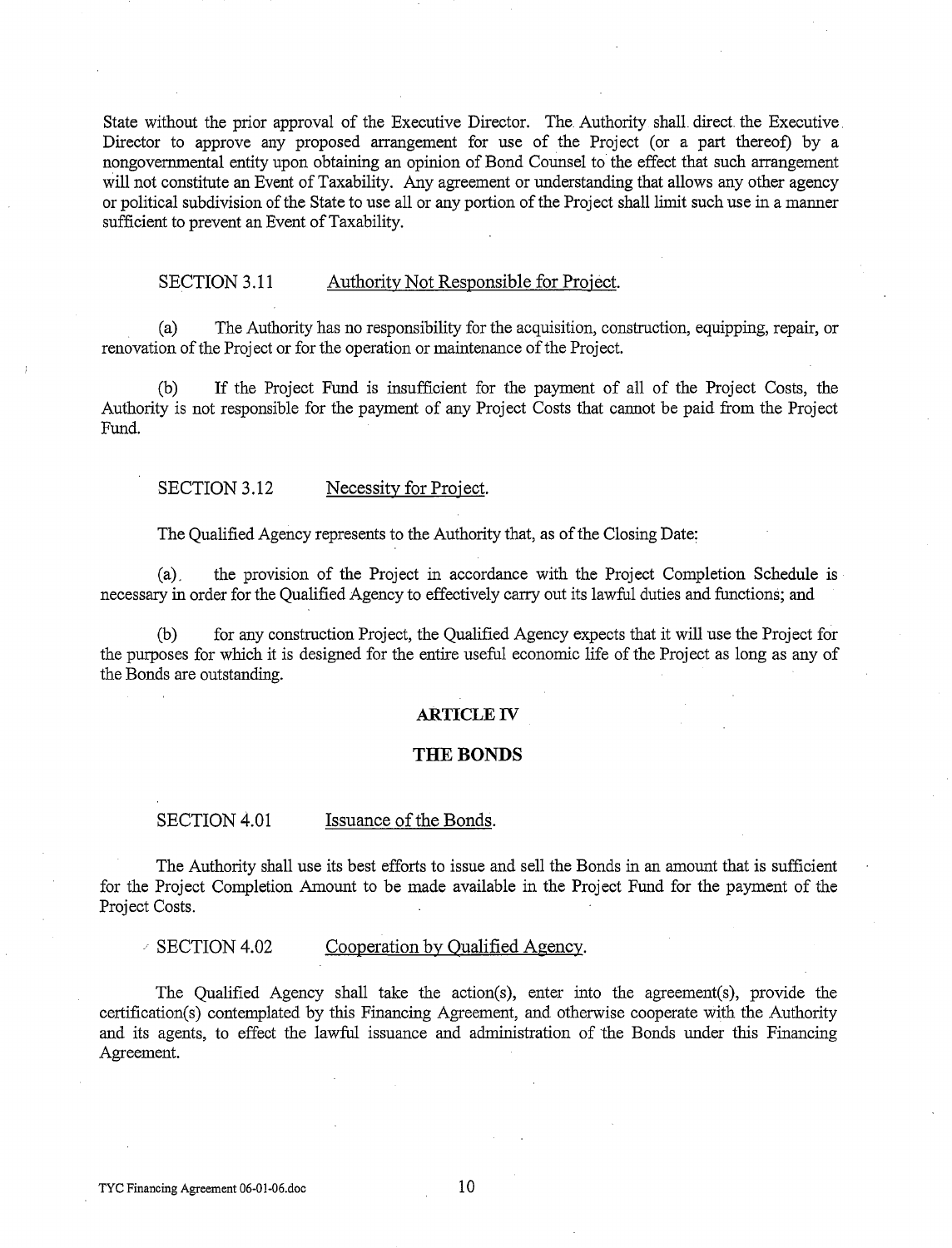State without the prior approval of the Executive Director. The Authority shall direct the Executive Director to approve any proposed arrangement for use of the Project (or a part thereof) by a nongovernmental entity upon obtaining an opinion of Bond Counsel to the effect that such arrangement will not constitute an Event of Taxability. Any agreement or understanding that allows any other agency or political subdivision of the State to use all or any portion of the Project shall limit such use in a manner sufficient to prevent an Event of Taxability.

#### SECTION 3.11 Authority Not Responsible for Project.

(a) The Authority has no responsibility for the acquisition, construction, equipping, repair, or renovation of the Project or for the operation or maintenance of the Project.

(b) If the Project Fund is insufficient for the payment of all of the Project Costs, the Authority is not responsible for the payment of any Project Costs that cannot be paid from the Project Fund.

#### SECTION 3.12 Necessity for Project.

The Qualified Agency represents to the Authority that, as of the Closing Date:

(a). the provision of the Project in accordance with the Project Completion Schedule is necessary in order for the Qualified Agency to effectively carry out its lawful duties and functions; and

(b) for any construction Project, the Qualified Agency expects that it will use the Project for the purposes for which it is designed for the entire useful economic life of the Project as long as any of the Bonds are outstanding.

#### **ARTICLE** IV

#### **THE BONDS**

#### SECTION 4.01 Issuance of the Bonds.

The Authority shall use its best efforts to issue and sell the Bonds in an amount that is sufficient for the Project Completion Amount to be made available in the Project Fund for the payment of the Project Costs.

 $\angle$  SECTION 4.02 Cooperation by Qualified Agency.

The Qualified Agency shall take the action(s), enter into the agreement(s), provide the certification(s) contemplated by this Financing Agreement, and otherwise cooperate with the Authority and its agents, to effect the lawful issuance and administration of the Bonds under this Financing Agreement.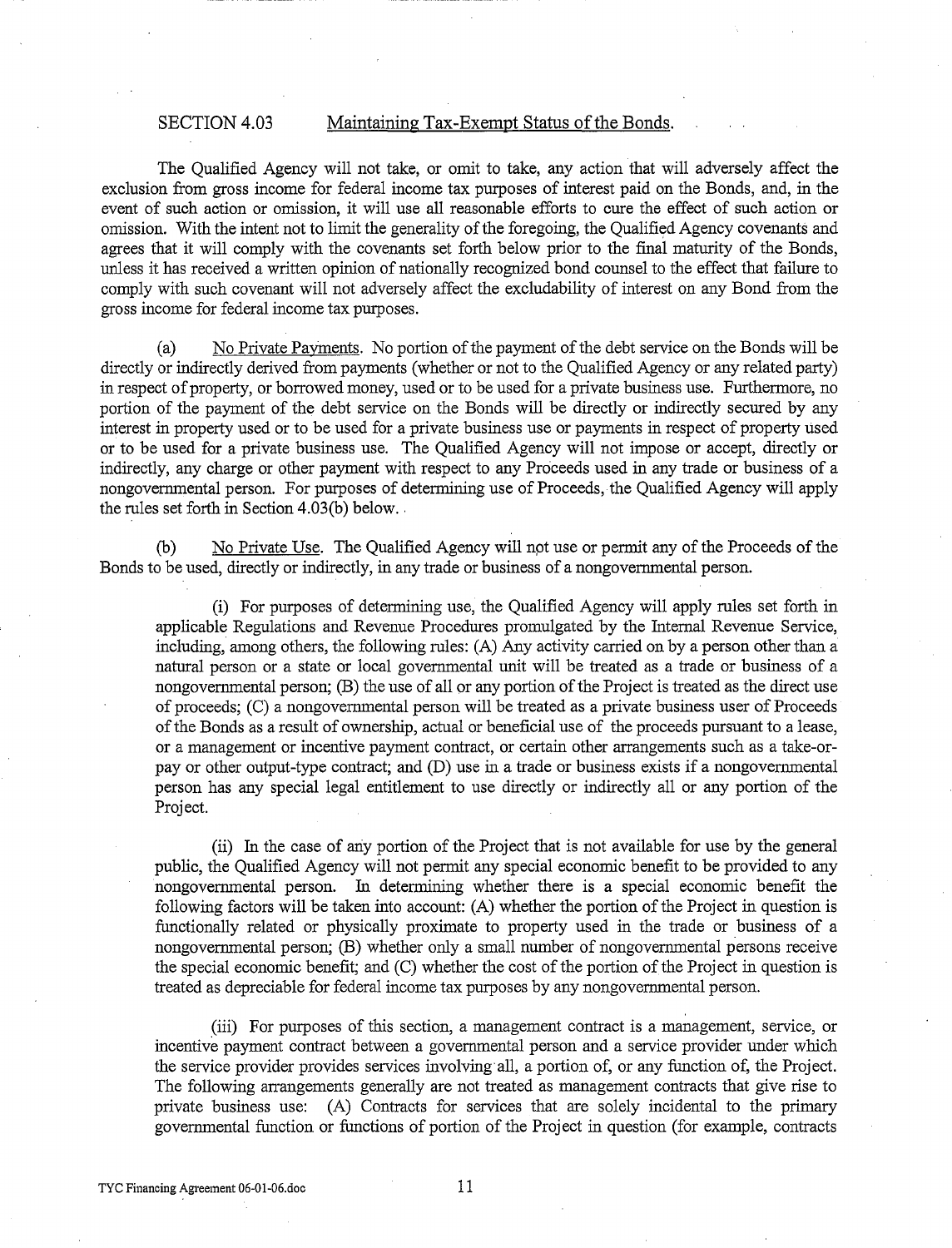#### SECTION 4.03 Maintaining Tax-Exempt Status of the Bonds.

The Qualified Agency will not take, or omit to take, any action that will adversely affect the exclusion from gross income for federal income tax purposes of interest paid on the Bonds, and, in the event of such action or omission, it will use all reasonable efforts to cure the effect of such action or omission. With the intent not to limit the generality of the foregoing, the Qualified Agency covenants and agrees that it will comply with the covenants set forth below prior to the final maturity of the Bonds, unless it has received a written opinion of nationally recognized bond counsel to the effect that failure to comply with such covenant will not adversely affect the excludability of interest on any Bond from the gross income for federal income tax purposes.

(a) No Private PaYments. No portion of the payment of the debt service on the Bonds will be directly or indirectly derived from payments (whether or not to the Qualified Agency or any related party) in respect of property, or borrowed money, used or to be used for a private business use. Furthermore, no portion of the payment of the debt service on the Bonds will be directly or indirectly secured by any interest in property used or to be used for a private business use or payments in respect of property used or to be used for a private business use. The Qualified Agency will not impose or accept, directly or indirectly, any charge or other payment with respect to any Proceeds used in any trade or business of a nongovernmental person. For purposes of determining use of Proceeds, the Qualified Agency will apply the rules set forth in Section  $4.03(b)$  below.

(b) No Private Use. The Qualified Agency will npt use or permit any of the Proceeds of the Bonds to be used, directly or indirectly, in any trade or business of a nongovernmental person.

(i) For purposes of determining use, the Qualified Agency will apply rules set forth in applicable Regulations and Revenue Procedures promulgated by the futemal Revenue Service, including, among others, the following rules: (A) Any activity carried on by a person other than a natural person or a state or local governmental unit will be treated as a trade or business of a nongovernmental person; (B) the use of all or any portion of the Project is treated as the direct use of proceeds; (C) a nongovernmental person will be treated as a private business user of Proceeds of the Bonds as a result of ownership, actual or beneficial use of the proceeds pursuant to a lease, or a management or incentive payment contract, or certain other arrangements such as a take-orpay or other output-type contract; and (D) use in a trade or business exists if a nongovernmental person has any special legal entitlement to use directly or indirectly all or any portion of the Project.

(ii) In the case of any portion of the Project that is not available for use by the general public, the Qualified Agency will not permit any special economic benefit to be provided to any nongovernmental person. In determining whether there is a special economic benefit the following factors will be taken into account: (A) whether the portion of the Project in question is functionally related or physically proximate to property used in the trade or business of a nongovernmental person; (B) whether only a small number of nongovernmental persons receive the special economic benefit; and (C) whether the cost of the portion ofthe Project in question is treated as depreciable for federal income tax purposes by any nongovernmental person.

(iii) For purposes of this section, a management contract is a management, service, or incentive payment contract between a governmental person and a service provider under which the service provider provides services involving all, a portion of, or any function of, the Project. The following arrangements generally are not treated as management contracts that give rise to private business use: (A) Contracts for services that are solely incidental to the primary governmental function or functions of portion of the Project in question (for example, contracts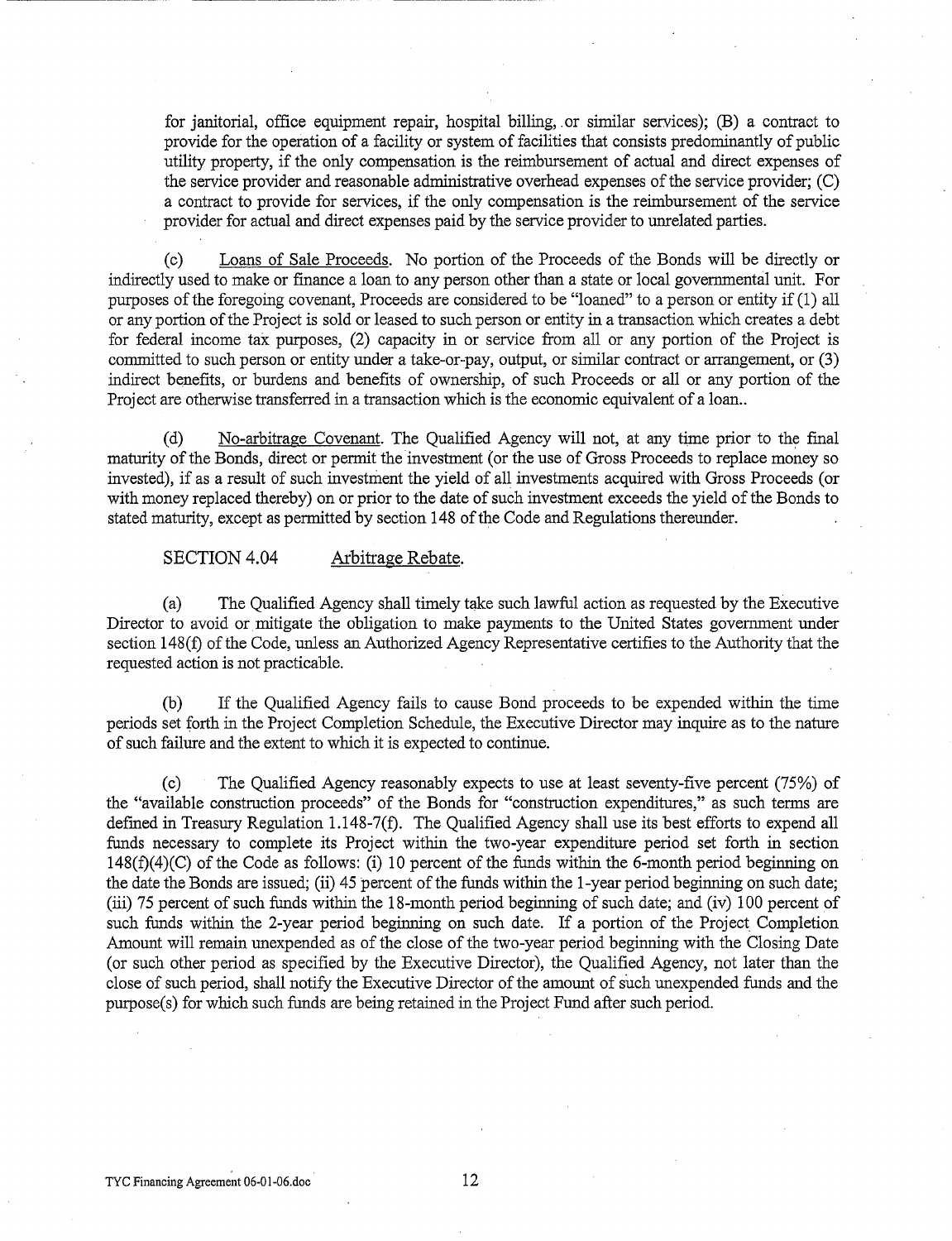for janitorial, office equipment repair, hospital billing, or similar services); (B) a contract to provide for the operation of a facility or system of facilities that consists predominantly of public utility property, if the only compensation is the reimbursement of actual and direct expenses of the service provider and reasonable administrative overhead expenses of the service provider; (C) a contract to provide for services, if the only compensation is the reimbursement of the service provider for actual and direct expenses paid by the service provider to unrelated parties.

(c) Loans of Sale Proceeds. No portion of the Proceeds of the Bonds will be directly or indirectly used to make or fmance a loan to any person other than a state or local governmental unit. For purposes of the foregoing covenant, Proceeds are considered to be "loaned" to a person or entity if (1) all or any portion of the Project is sold or leased to such person or entity in a transaction which creates a debt for federal income tax purposes, (2) capacity in or service from all or any portion of the Project is committed to such person or entity under a take-or-pay, output, or similar contract or arrangement, or (3) indirect benefits, or burdens and benefits of ownership, of such Proceeds or all or any portion of the Project are otherwise transferred in a transaction which is the economic equivalent of a loan..

(d) No-arbitrage Covenant. The Qualified Agency will not, at any time prior to the fmal maturity of the Bonds, direct or permit the investment (or the use of Gross Proceeds to replace money so invested), if as a result of such investment the yield of all investments acquired with Gross Proceeds (or with money replaced thereby) on or prior to the date of such investment exceeds the yield of the Bonds to stated maturity, except as permitted by section 148 of the Code and Regulations thereunder.

SECTION 4.04 Arbitrage Rebate.

---------------

(a) The Qualified Agency shall timely take such lawful action as requested by the Executive Director to avoid or mitigate the obligation to make payments to the United States government under section 148(f) of the Code, unless an Authorized Agency Representative certifies to the Authority that the requested action is not practicable.

(b) If the Qualified Agency fails to cause Bond proceeds to be expended within the time periods set forth in the Project Completion Schedule, the Executive Director may inquire as to the nature of such failure and the extent to which it is expected to continue.

(c) The Qualified Agency reasonably expects to use at least seventy-five percent (75%) of the "available construction proceeds" of the Bonds for "construction expenditures," as such terms are defined in Treasury Regulation 1.148-7(f). The Qualified Agency shall use its best efforts to expend all funds necessary to complete its Project within the two-year expenditure period set forth in section 148(f)(4)(C) of the Code as follows: (i) 10 percent of the funds within the 6-month period beginning on the date the Bonds are issued; (ii) 45 percent of the funds within the 1-year period beginning on such date; (iii) 75 percent of such funds within the 18-month period beginning of such date; and (iv) 100 percent of such funds within the 2-year period beginning on such date. If a portion of the Project Completion Amount will remain unexpended as of the close of the two-year period beginning with the Closing Date (or such other period as specified by the Executive Director), the Qualified Agency, not later than the close of such period, shall notify the Executive Director of the amount of such unexpended funds and the purpose(s) for which such funds are being retained in the Project Fund after such period.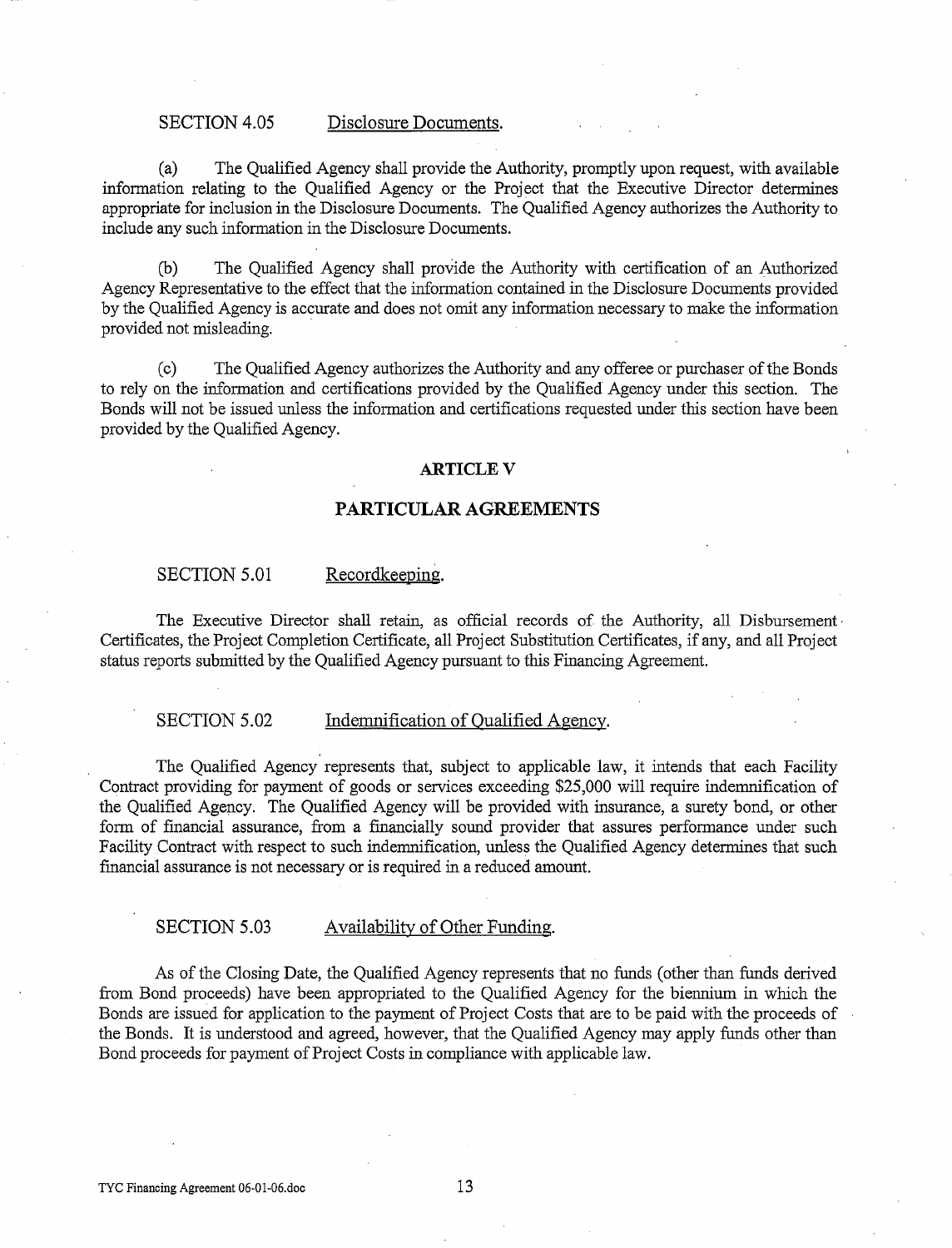#### SECTION 4.05 Disclosure Documents.

(a) The Qualified Agency shall provide the Authority, promptly upon request, with available information relating to the Qualified Agency or the Project that the Executive Director determines appropriate for inclusion in the Disclosure Documents. The Qualified Agency authorizes the Authority to include any such information in the Disclosure Documents.

(b) The Qualified Agency shall provide the Authority with certification of an Authorized Agency Representative to the effect that the information contained in the Disclosure Documents provided by the Qualified Agency is accurate and does not omit any information necessary to make the information provided not misleading.

(c) The Qualified Agency authorizes the Authority and any offeree or purchaser of the Bonds to rely on the information and certifications provided by the Qualified Agency under this section. The Bonds will not be issued unless the information and certifications requested under this section have been provided by the Qualified Agency.

#### **ARTICLEV**

#### **PARTICULAR AGREEMENTS**

#### SECTION 5.01 Recordkeeping.

The Executive Director shall retain, as official records of the Authority, all Disbursement· Certificates, the Project Completion Certificate, all Project Substitution Certificates, if any, and all Project status reports submitted by the Qualified Agency pursuant to this Financing Agreement.

#### SECTION 5.02 Indemnification of Oualified Agency.

The Qualified Agency represents that, subject to applicable law, it intends that each Facility Contract providing for payment of goods or services exceeding \$25,000 will require indemnification of the Qualified Agency. The Qualified Agency will be provided with insurance, a surety bond, or other form of financial assurance, from a financially sound provider that assures performance under such Facility Contract with respect to such indemnification, unless the Qualified Agency determines that such fmancial assurance is not necessary or is required in a reduced amount.

#### SECTION 5.03 Availability of Other Funding.

As of the Closing Date, the Qualified Agency represents that no funds (other than funds derived from Bond proceeds) have been appropriated to the Qualified Agency for the biennium in which the Bonds are issued for application to the payment of Project Costs that are to be paid with the proceeds of the Bonds. It is understood and agreed, however, that the Qualified Agency may apply funds other than Bond proceeds for payment of Project Costs in compliance with applicable law.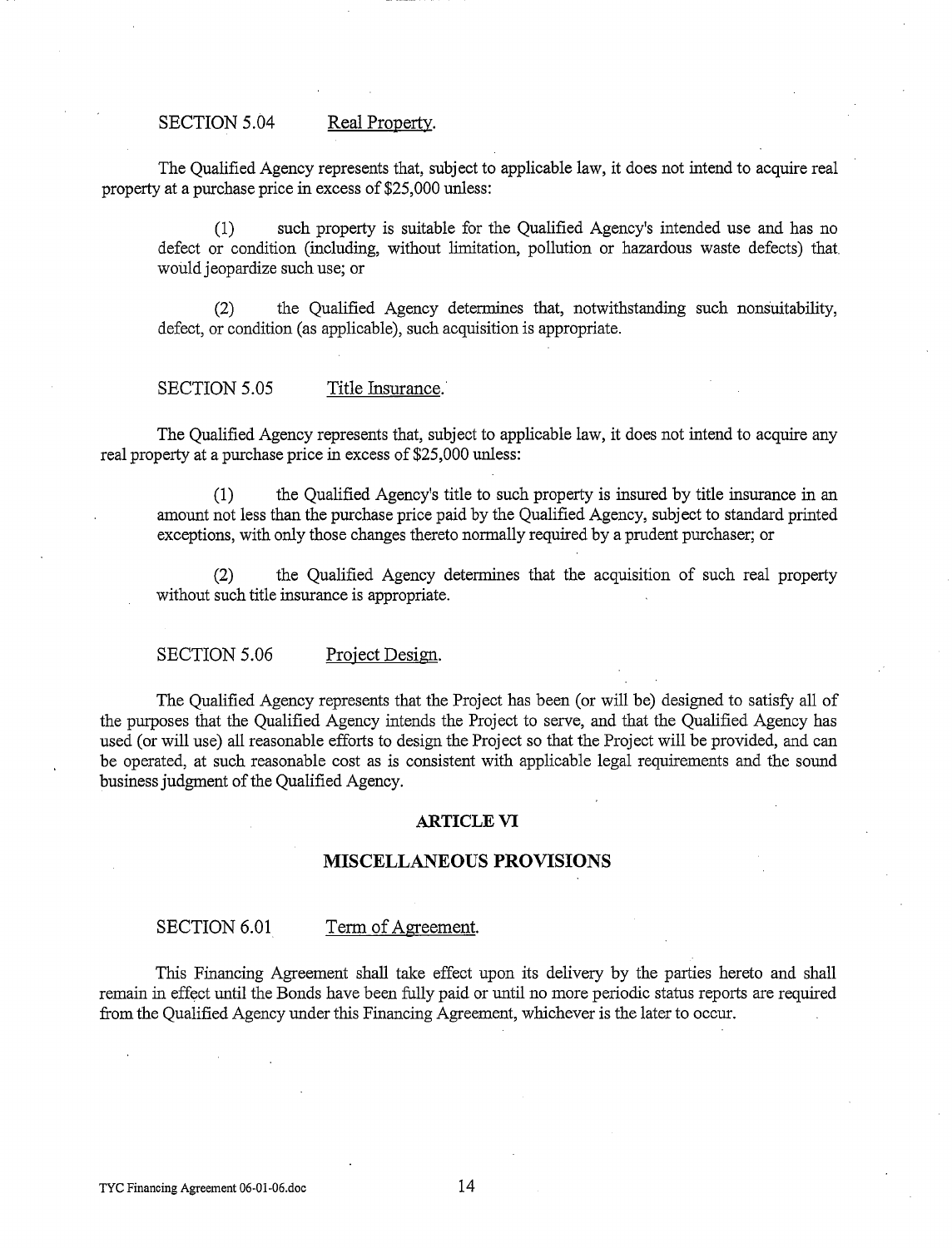#### SECTION 5.04 Real Property.

The Qualified Agency represents that, subject to applicable law, it does not intend to acquire real property at a purchase price in excess of \$25,000 unless:

(1) such property is suitable for the Qualified Agency's intended use and has no defect or condition (including, without limitation, pollution or hazardous waste defects) that would jeopardize such use; or

(2) the Qualified Agency determines that, notwithstanding such nonsuitability, defect, or condition (as applicable), such acquisition is appropriate.

#### SECTION 5.05 Title Insurance.

The Qualified Agency represents that, subject to applicable law, it does not intend to acquire any real property at a purchase price in excess of \$25,000 unless:

(1) the Qualified Agency's title to such property is insured by title insurance in an amount not less than the purchase price paid by the Qualified Agency, subject to standard printed exceptions, with only those changes thereto normally required by a prudent purchaser; or

(2) the Qualified Agency determines that the acquisition of such real property without such title insurance is appropriate.

SECTION 5.06 Project Design.

The Qualified Agency represents that the Project has been (or will be) designed to satisfy all of the purposes that the Qualified Agency intends the Project to serve, and that the Qualified Agency has used (or will use) all reasonable efforts to design the Project so that the Project will be provided, and can be operated, at such reasonable cost as is consistent with applicable legal requirements and the sound business judgment of the Qualified Agency.

#### **ARTICLE VI**

#### **MISCELLANEOUS PROVISIONS**

SECTION 6.01 Term of Agreement.

This Financing Agreement shall take effect upon its delivery by the parties hereto and shall remain in effect until the Bonds have been fully paid or until no more periodic status reports are required from the Qualified Agency under this Financing Agreement, whichever is the later to occur.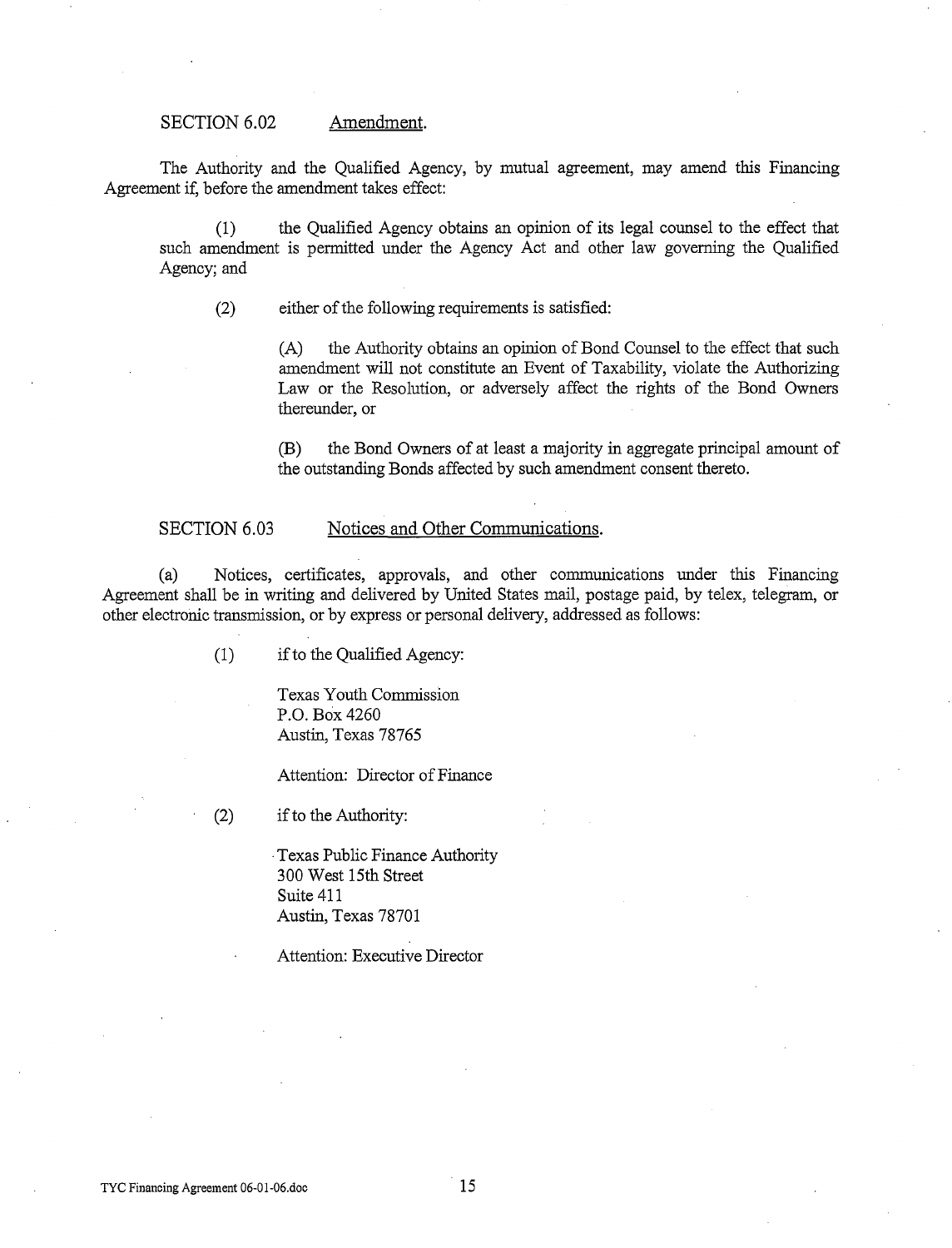#### SECTION 6.02 Amendment.

The Authority and the Qualified Agency, by mutual agreement, may amend this Financing Agreement if, before the amendment takes effect:

(1) the Qualified Agency obtains an opinion of its legal counsel to the effect that such amendment is permitted under the Agency Act and other law governing the Qualified Agency; and

(2) either of the following requirements is satisfied:

(A) the Authority obtains an opinion of Bond Counsel to the effect that such amendment will not constitute an Event of Taxability, violate the Authorizing Law or the Resolution, or adversely affect the rights of the Bond Owners thereunder, or

(B) the Bond Owners of at least a majority in aggregate principal amount of the outstanding Bonds affected by such amendment consent thereto.

#### SECTION 6.03 Notices and Other Communications.

(a) Notices, certificates, approvals, and other communications under this Financing Agreement shall be in writing and delivered by United States mail, postage paid, by telex, telegram, or other electronic transmission, or by express or personal delivery, addressed as follows:

(1) if to the Qualified Agency:

Texas Youth Commission P.O. Box 4260 Austin, Texas 78765

Attention: Director of Finance

(2) if to the Authority:

·Texas Public Finance Authority 300 West 15th Street Suite 411 Austin, Texas 78701

Attention: Executive Director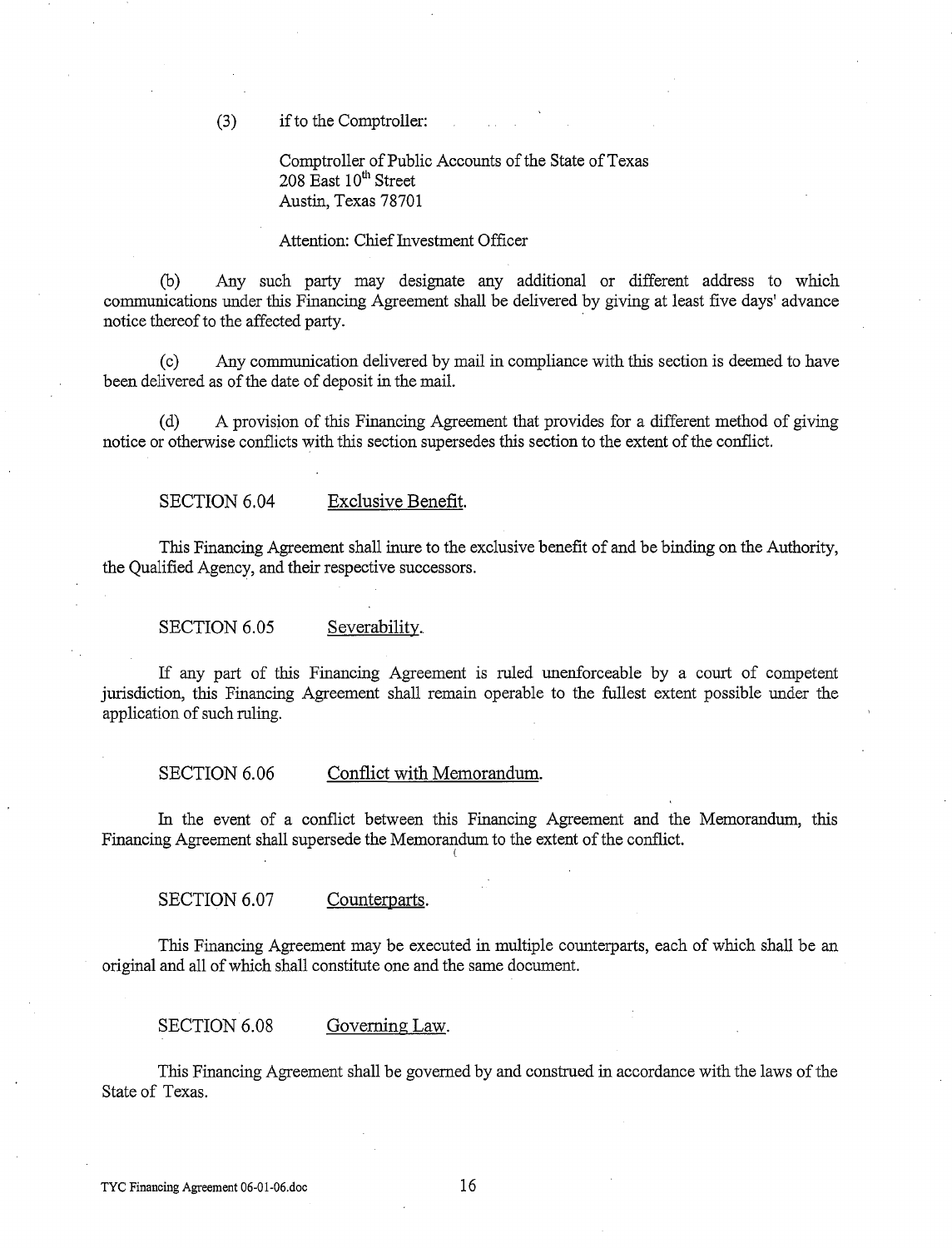(3) if to the Comptroller:

Comptroller of Public Accounts of the State of Texas  $208$  East  $10<sup>th</sup>$  Street Austin, Texas 78701

#### Attention: Chief Investment Officer

(b) Any such party may designate any additional or different address to which communications under this Financing Agreement shall be delivered by giving at least five days' advance notice thereof to the affected party.

(c) Any communication delivered by mail in compliance with this section is deemed to have been delivered as of the date of deposit in the mail.

(d) A provision of this Financing Agreement that provides for a different method of giving notice or otherwise conflicts with this section supersedes this section to the extent of the conflict.

SECTION 6.04 Exclusive Benefit.

This Financing Agreement shall inure to the exclusive benefit of and be binding on the Authority, the Qualified Agency, and their respective successors.

SECTION 6.05 Severability.

If any part of this Financing Agreement is ruled unenforceable by a court of competent jurisdiction, this Financing Agreement shall remain operable to the fullest extent possible under the application of such ruling.

SECTION 6.06 Conflict with Memorandum.

In the event of a conflict between this Financing Agreement and the Memorandum, this Financing Agreement shall supersede the Memorandum to the extent of the conflict.

(

SECTION 6.07 Counterparts.

This Financing Agreement may be executed in multiple counterparts, each of which shall be an original and all of which shall constitute one and the same document.

SECTION 6.08 Governing Law.

This Financing Agreement shall be governed by and construed in accordance with the laws of the State of Texas.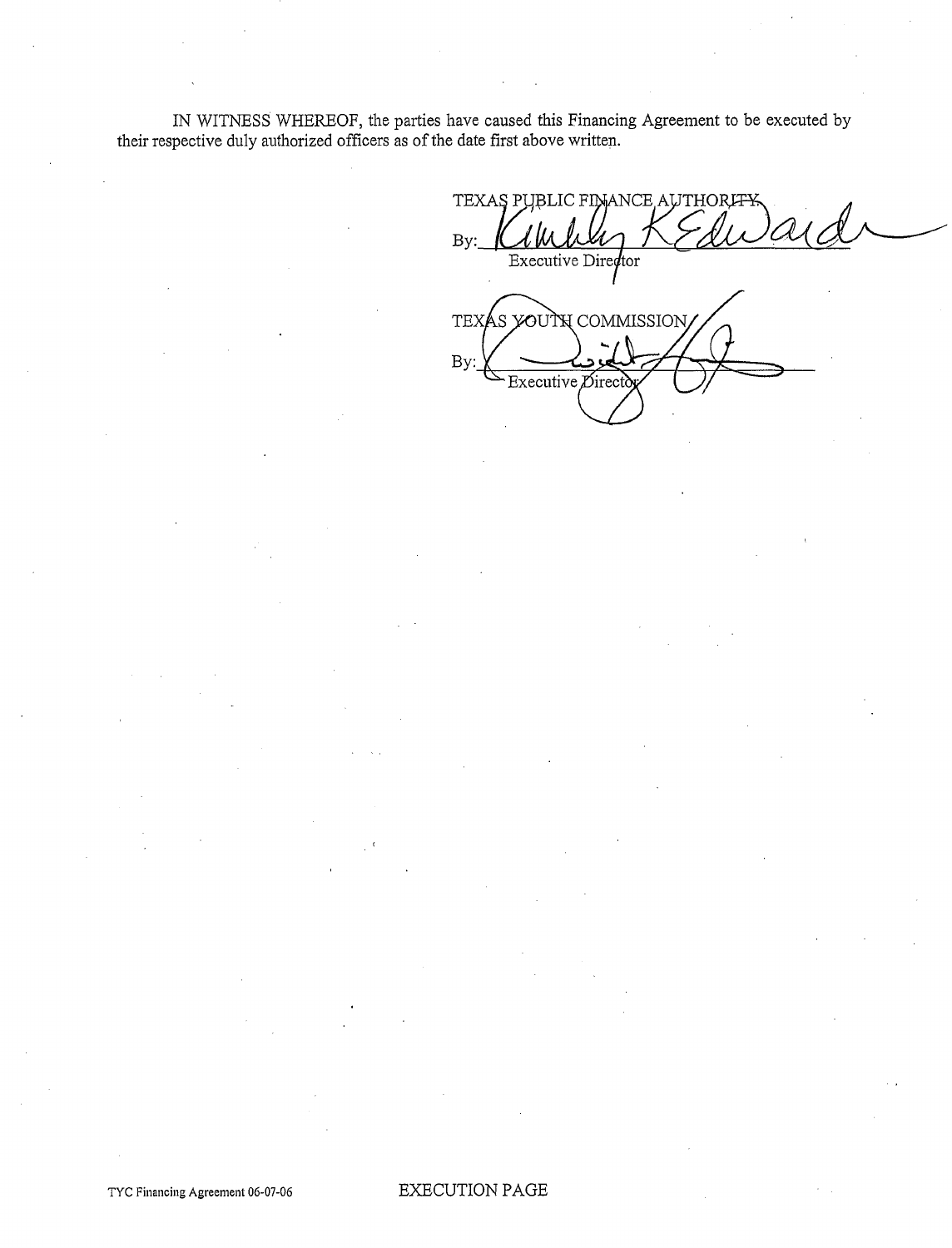IN WITNESS WHEREOF, the parties have caused this Financing Agreement to be executed by their respective duly authorized officers as of the date first above written.

 $c$ xecutive  $\not\!\!\!D$ irect

TEXAS PI BLIC FINANCE AUTHORI<del>TY</del>  $By:$ Executive Director TEXAS YOUTH COMMISSION By:

TYC Financing Agreement 06-07-06 EXECUTION PAGE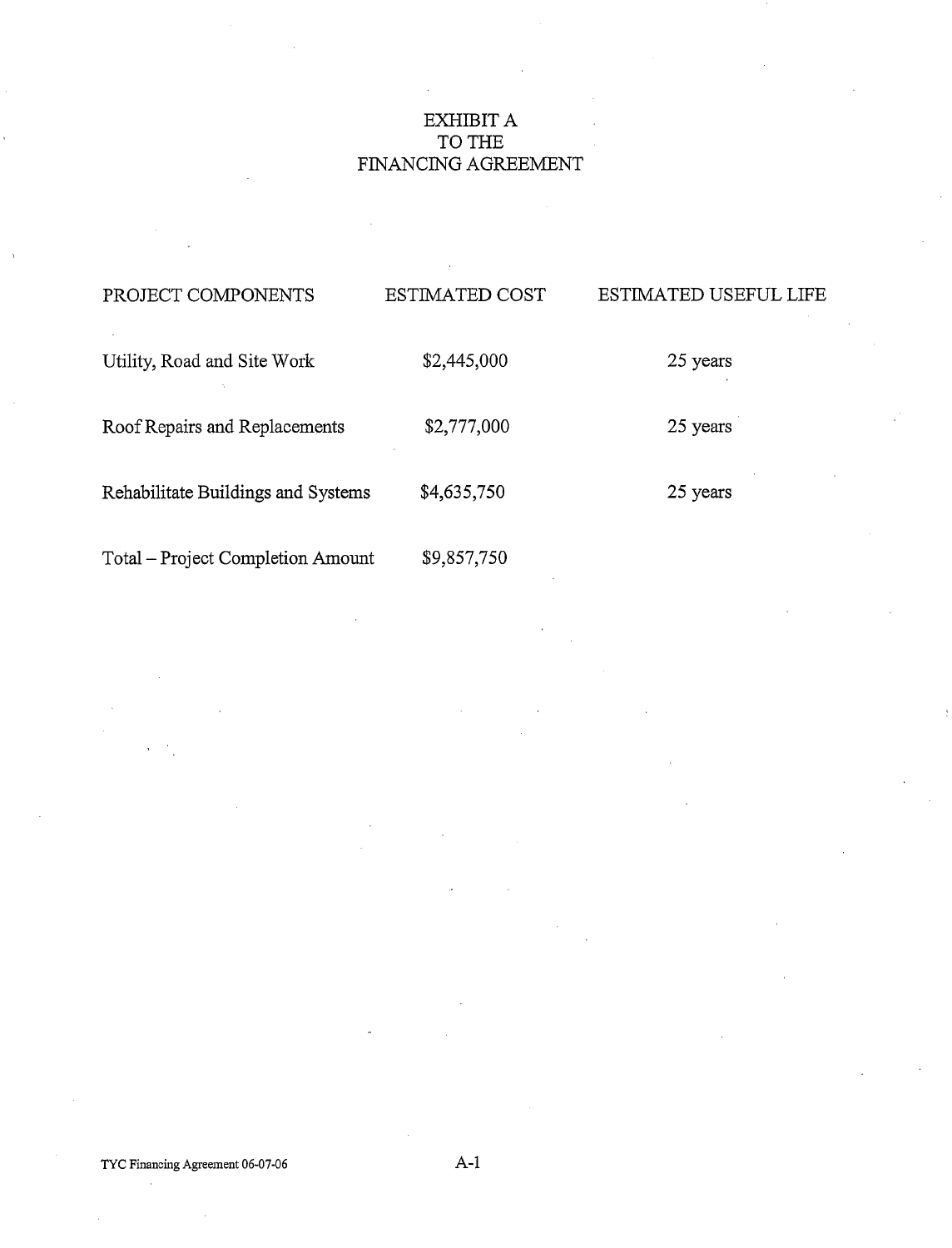# EXHIBIT A TO THE FINANCING AGREEMENT

| PROJECT COMPONENTS                 | <b>ESTIMATED COST</b> | ESTIMATED USEFUL LIFE |
|------------------------------------|-----------------------|-----------------------|
| Utility, Road and Site Work        | \$2,445,000           | 25 years              |
| Roof Repairs and Replacements      | \$2,777,000           | 25 years              |
| Rehabilitate Buildings and Systems | \$4,635,750           | 25 years              |
| Total – Project Completion Amount  | \$9,857,750           |                       |

 $\overline{\phantom{a}}$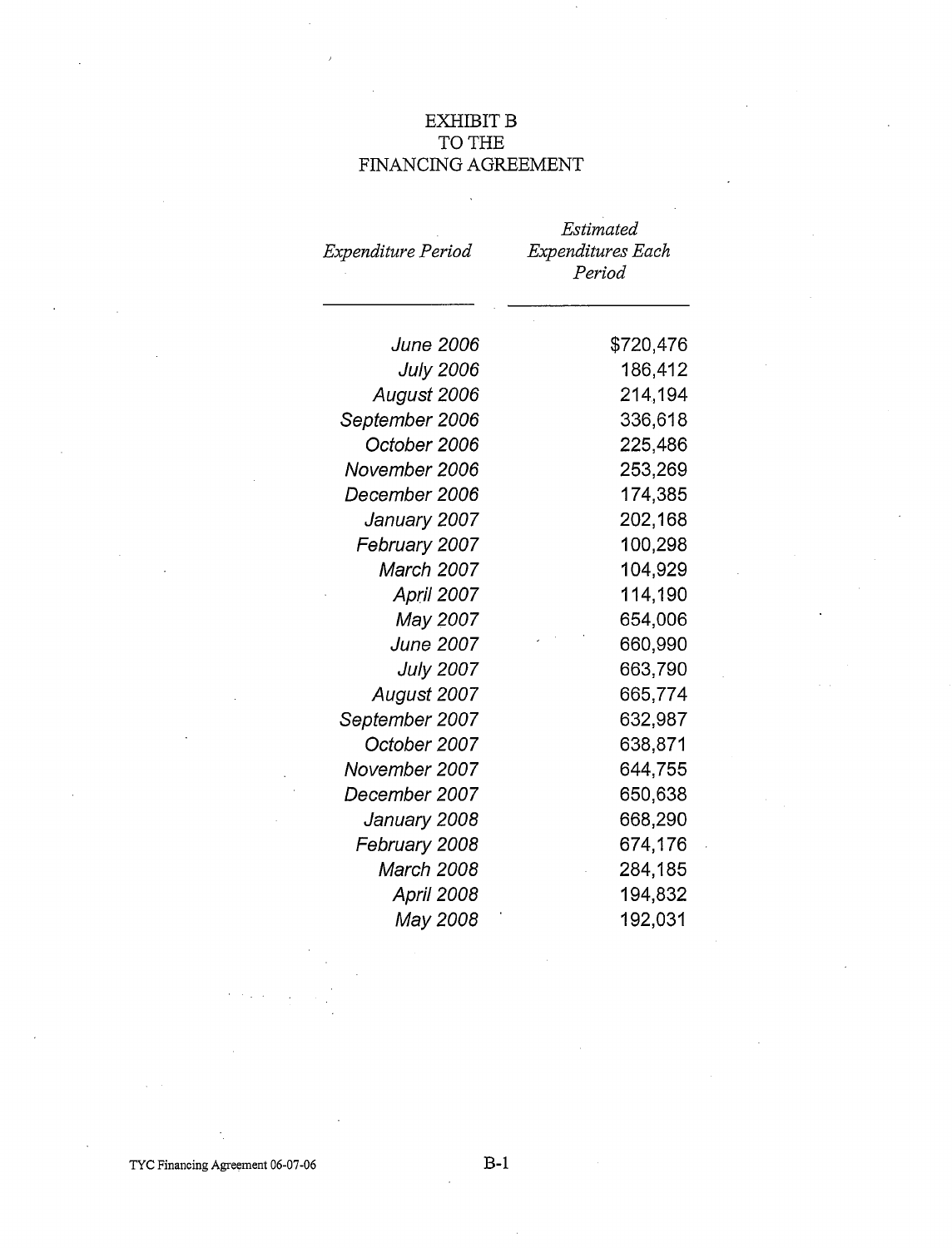# EXHIBIT B TO THE FINANCING AGREEMENT

 $\overline{a}$ 

|                         | Estimated         |
|-------------------------|-------------------|
| Expenditure Period      | Expenditures Each |
|                         | Period            |
|                         |                   |
| <i><b>June 2006</b></i> | \$720,476         |
| <b>July 2006</b>        | 186,412           |
| August 2006             | 214,194           |
| September 2006          | 336,618           |
| October 2006            | 225,486           |
| November 2006           | 253,269           |
| December 2006           | 174,385           |
| January 2007            | 202,168           |
| February 2007           | 100,298           |
| March 2007              | 104,929           |
| April 2007              | 114,190           |
| May 2007                | 654,006           |
| <b>June 2007</b>        | 660,990           |
| <b>July 2007</b>        | 663,790           |
| August 2007             | 665,774           |
| September 2007          | 632,987           |
| October 2007            | 638,871           |
| November 2007           | 644,755           |
| December 2007           | 650,638           |
| January 2008            | 668,290           |
| February 2008           | 674,176           |
| March 2008              | 284,185           |
| <b>April 2008</b>       | 194,832           |
| May 2008                | 192,031           |

TYC Financing Agreement 06-07-06 B-1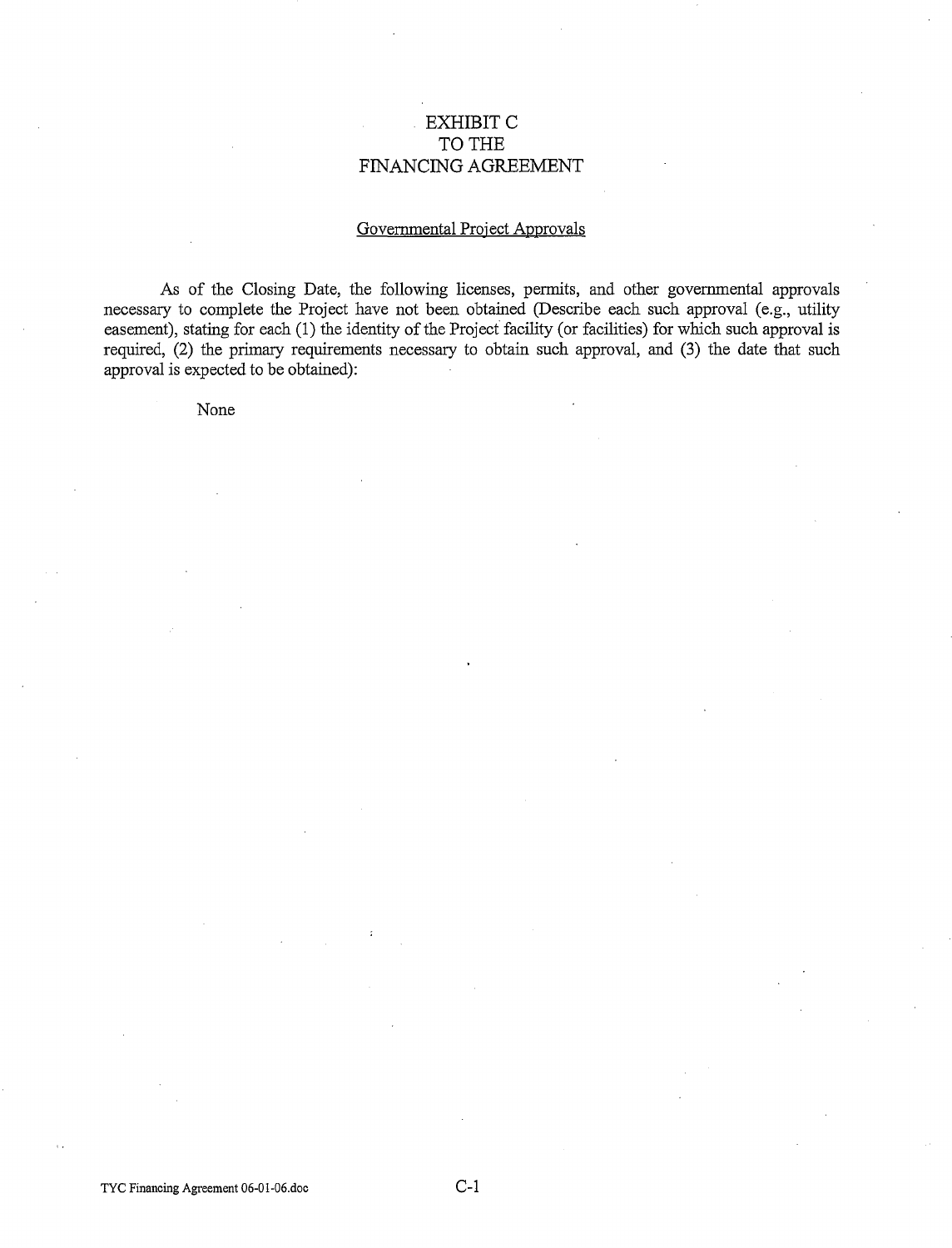# EXHIBIT C TO THE FINANCING AGREEMENT

#### Governmental Project Approvals

As of the Closing Date, the following licenses, permits, and other governmental approvals necessary to complete the Project have not been obtained (Describe each such approval (e.g., utility easement), stating for each (1) the identity of the Project facility (or facilities) for which such approval is required, (2) the primary requirements necessary to obtain such approval, and (3) the date that such approval is expected to be obtained):

None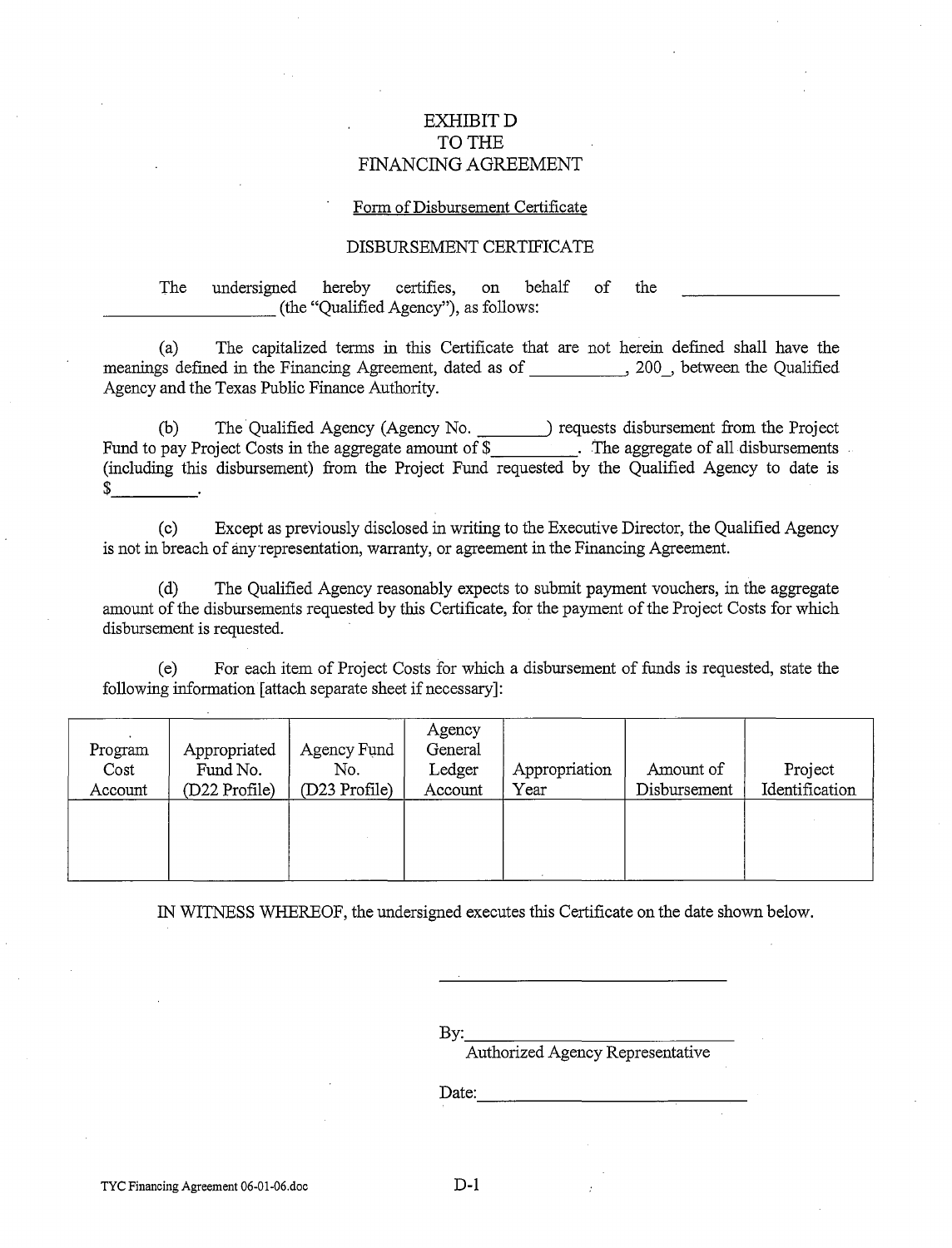# EXHIBITD TO THE FINANCING AGREEMENT

#### Form of Disbursement Certificate

#### DISBURSEMENT CERTIFICATE

The undersigned hereby certifies, on behalf of the \_\_\_\_\_\_\_\_ (the "Qualified Agency"), as follows:

(a) The capitalized terms in this Certificate that are not herein defined shall have the meanings defined in the Financing Agreement, dated as of , 200, between the Qualified Agency and the Texas Public Finance Authority.

(b) The Qualified Agency (Agency No. 1201) requests disbursement from the Project Fund to pay Project Costs in the aggregate amount of  $\frac{1}{2}$  . The aggregate of all disbursements (including this disbursement) from the Project Fund requested by the Qualified Agency to date is  $\frac{1}{2}$ 

(c) Except as previously disclosed in writing to the Executive Director, the Qualified Agency is not in breach of any representation, warranty, or agreement in the Financing Agreement.

(d) The Qualified Agency reasonably expects to submit payment vouchers, in the aggregate amount of the disbursements requested by this Certificate, for the payment of the Project Costs for which disbursement is requested.

(e) For each item of Project Costs for which a disbursement of funds is requested, state the following information [attach separate sheet if necessary]:

| Program<br>Cost<br>Account | Appropriated<br>Fund No.<br>(D22 Profile) | Agency Fund<br>No.<br>(D23 Profile) | Agency<br>General<br>Ledger<br>Account | Appropriation<br>Year | Amount of<br>Disbursement | Project<br>Identification |
|----------------------------|-------------------------------------------|-------------------------------------|----------------------------------------|-----------------------|---------------------------|---------------------------|
|                            |                                           |                                     |                                        |                       |                           |                           |

IN WITNESS WHEREOF, the undersigned executes this Certificate on the date shown below.

By:<br>Authorized Agency Representative

 $Date:$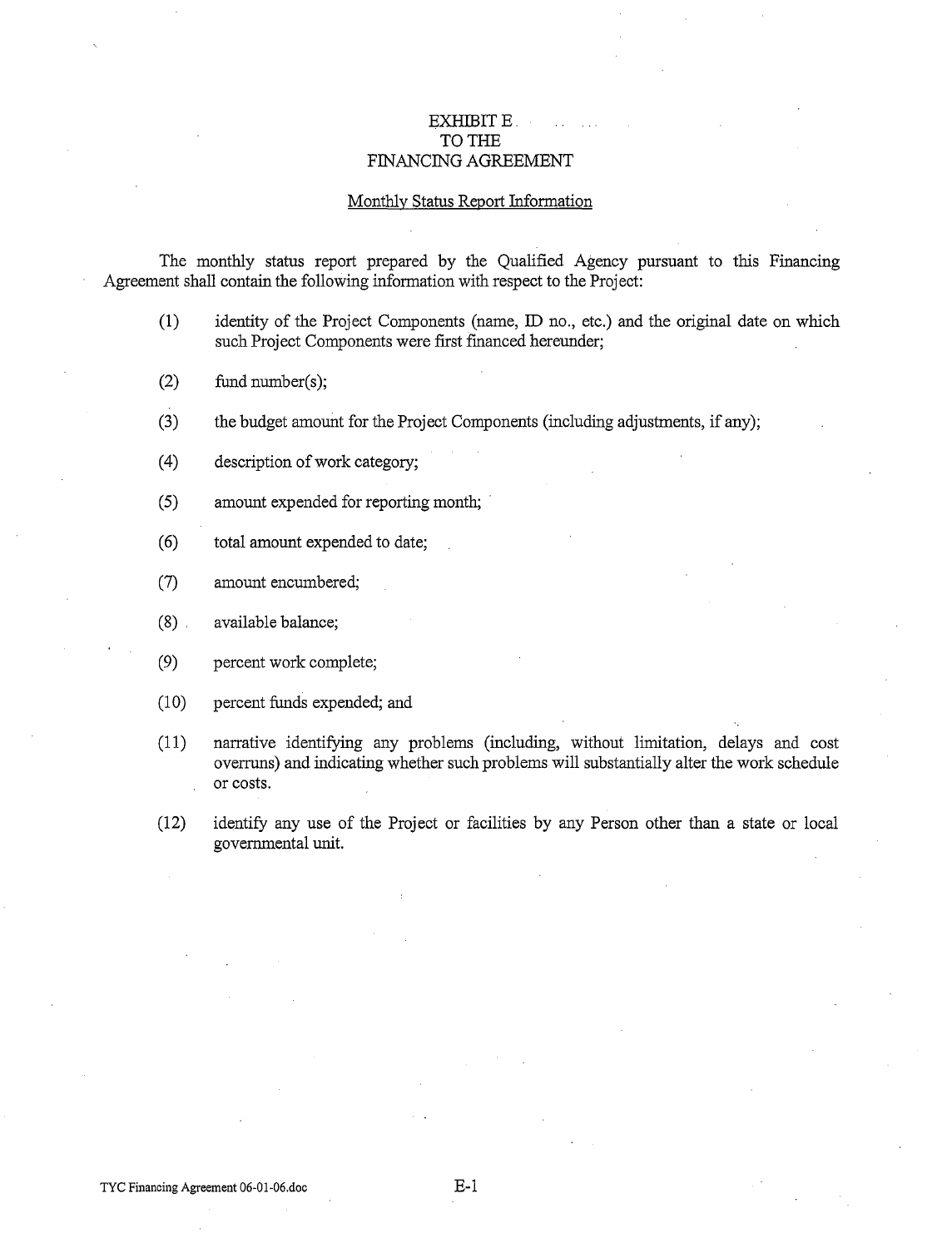#### EXHIBIT E. TO THE FINANCING AGREEMENT

#### Monthly Status Report Information

The monthly status report prepared by the Qualified Agency pursuant to this Financing Agreement shall contain the following information with respect to the Project:

- (1) identity of the Project Components (name, ID no., etc.) and the original date on which such Project Components were first financed hereunder;
- (2) fund number(s);
- (3) the budget amount for the Project Components (including adjustments, if any);
- (4) description of work category;
- (5) amount expended for reporting month;
- ( 6) total amount expended to date;
- (7) amount encumbered;
- (8) . available balance;
- (9) percent work complete;
- (10) percent funds expended; and
- (11) narrative identifying any problems (including, without limitation, delays and cost overruns) and indicating whether such problems will substantially alter the work schedule or costs.
- (12) identify any use of the Project or facilities by any Person other than a state or local governmental unit.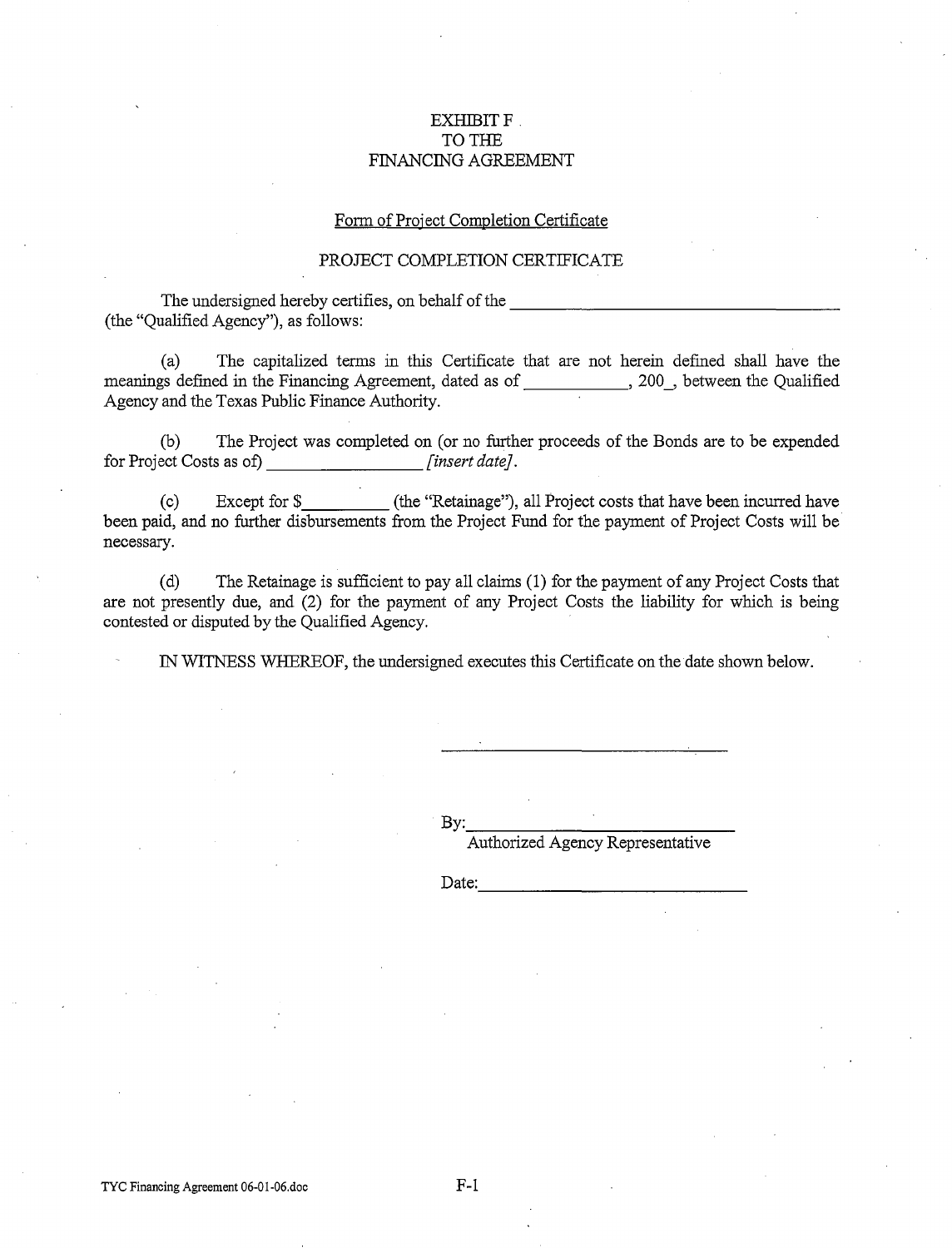#### EXHIBIT F TO THE FINANCING AGREEMENT

#### Form of Project Completion Certificate

#### PROJECT COMPLETION CERTIFICATE

The undersigned hereby certifies, on behalf of the (the "Qualified Agency"), as follows:

 $\sim 10^{-1}$ 

(a) The capitalized terms in this Certificate that are not herein defined shall have the meanings defined in the Financing Agreement, dated as of \_\_\_\_\_\_\_\_\_\_\_, 200\_, between the Qualified Agency and the Texas Public Finance Authority.

(b) The Project was completed on (or no further proceeds of the Bonds are to be expended for Project Costs as of) *[insert date].* 

(c) Except for\$ (the "Retainage"), all Project costs that have been incurred have been paid, and no further disbursements from the Project Fund for the payment of Project Costs will be necessary.

(d) The Retainage is sufficient to pay all claims ( 1) for the payment of any Project Costs that are not presently due, and (2) for the payment of any Project Costs the liability for which is being contested or disputed by the Qualified Agency.

IN WITNESS WHEREOF, the undersigned executes this Certificate on the date shown below.

By:\_--,--\_\_\_\_\_\_\_\_\_ \_

Authorized Agency Representative

Date: ---------------